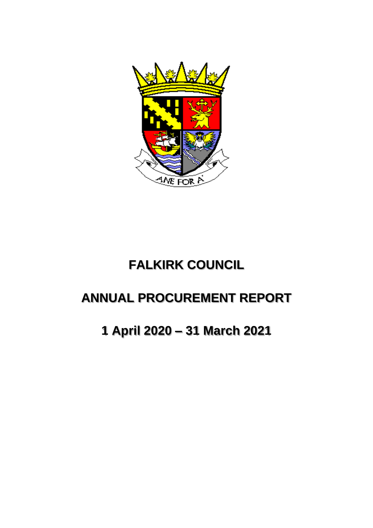

# **FALKIRK COUNCIL**

# **ANNUAL PROCUREMENT REPORT**

**1 April 2020 – 31 March 2021**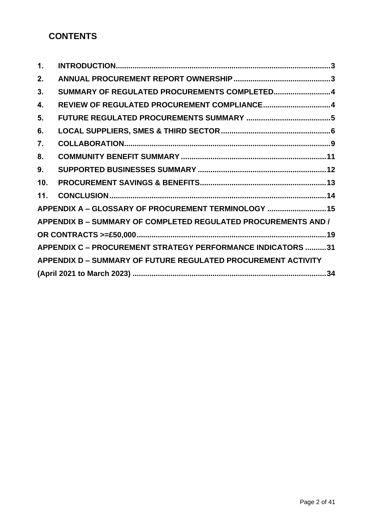# **CONTENTS**

| $\mathbf{1}$ .   |                                                                      |
|------------------|----------------------------------------------------------------------|
| 2.               |                                                                      |
| 3.               | SUMMARY OF REGULATED PROCUREMENTS COMPLETED4                         |
| 4.               | REVIEW OF REGULATED PROCUREMENT COMPLIANCE4                          |
| 5.               |                                                                      |
| 6.               |                                                                      |
| $\overline{7}$ . |                                                                      |
| 8.               |                                                                      |
| 9.               |                                                                      |
| 10.              |                                                                      |
| 11.              |                                                                      |
|                  | APPENDIX A - GLOSSARY OF PROCUREMENT TERMINOLOGY  15                 |
|                  | APPENDIX B - SUMMARY OF COMPLETED REGULATED PROCUREMENTS AND /       |
|                  |                                                                      |
|                  | <b>APPENDIX C - PROCUREMENT STRATEGY PERFORMANCE INDICATORS 31</b>   |
|                  | <b>APPENDIX D - SUMMARY OF FUTURE REGULATED PROCUREMENT ACTIVITY</b> |
|                  |                                                                      |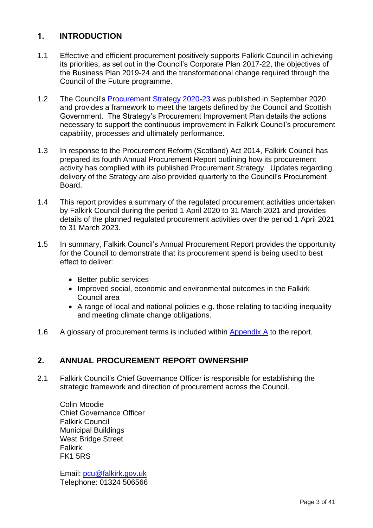## <span id="page-2-0"></span>**1. INTRODUCTION**

- 1.1 Effective and efficient procurement positively supports Falkirk Council in achieving its priorities, as set out in the Council's Corporate Plan 2017-22, the objectives of the Business Plan 2019-24 and the transformational change required through the Council of the Future programme.
- 1.2 The Council's [Procurement Strategy 2020-23](https://www.falkirk.gov.uk/services/council-democracy/policies-strategies/procurement/docs/Procurement%20Strategy%202020%20to%202023.pdf?v=202010221010) was published in September 2020 and provides a framework to meet the targets defined by the Council and Scottish Government. The Strategy's Procurement Improvement Plan details the actions necessary to support the continuous improvement in Falkirk Council's procurement capability, processes and ultimately performance.
- 1.3 In response to the Procurement Reform (Scotland) Act 2014, Falkirk Council has prepared its fourth Annual Procurement Report outlining how its procurement activity has complied with its published Procurement Strategy. Updates regarding delivery of the Strategy are also provided quarterly to the Council's Procurement Board.
- 1.4 This report provides a summary of the regulated procurement activities undertaken by Falkirk Council during the period 1 April 2020 to 31 March 2021 and provides details of the planned regulated procurement activities over the period 1 April 2021 to 31 March 2023.
- 1.5 In summary, Falkirk Council's Annual Procurement Report provides the opportunity for the Council to demonstrate that its procurement spend is being used to best effect to deliver:
	- Better public services
	- Improved social, economic and environmental outcomes in the Falkirk Council area
	- A range of local and national policies e.g. those relating to tackling inequality and meeting climate change obligations.
- 1.6 A glossary of procurement terms is included within [Appendix](#page-13-1) A to the report.

### <span id="page-2-1"></span>**2. ANNUAL PROCUREMENT REPORT OWNERSHIP**

2.1 Falkirk Council's Chief Governance Officer is responsible for establishing the strategic framework and direction of procurement across the Council.

Colin Moodie Chief Governance Officer Falkirk Council Municipal Buildings West Bridge Street Falkirk FK1 5RS

Email: [pcu@falkirk.gov.uk](mailto:pcu@falkirk.gov.uk) Telephone: 01324 506566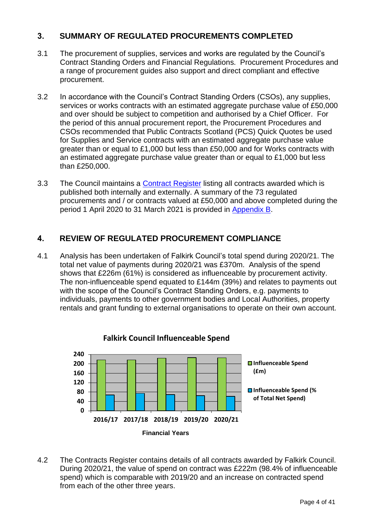### <span id="page-3-0"></span>**3. SUMMARY OF REGULATED PROCUREMENTS COMPLETED**

- 3.1 The procurement of supplies, services and works are regulated by the Council's Contract Standing Orders and Financial Regulations. Procurement Procedures and a range of procurement guides also support and direct compliant and effective procurement.
- 3.2 In accordance with the Council's Contract Standing Orders (CSOs), any supplies, services or works contracts with an estimated aggregate purchase value of £50,000 and over should be subject to competition and authorised by a Chief Officer. For the period of this annual procurement report, the Procurement Procedures and CSOs recommended that Public Contracts Scotland (PCS) Quick Quotes be used for Supplies and Service contracts with an estimated aggregate purchase value greater than or equal to £1,000 but less than £50,000 and for Works contracts with an estimated aggregate purchase value greater than or equal to £1,000 but less than £250,000.
- 3.3 The Council maintains a [Contract Register](https://www.falkirk.gov.uk/services/council-democracy/policies-strategies/procurement/contracts-register.aspx) listing all contracts awarded which is published both internally and [externally.](http://www.falkirk.gov.uk/services/council-democracy/policies-strategies/procurement/contracts-register.aspx) A summary of the 73 regulated procurements and / or contracts valued at £50,000 and above completed during the period 1 April 2020 to 31 March 2021 is provided in [Appendix B.](#page-18-0)

### <span id="page-3-1"></span>**4. REVIEW OF REGULATED PROCUREMENT COMPLIANCE**

4.1 Analysis has been undertaken of Falkirk Council's total spend during 2020/21. The total net value of payments during 2020/21 was £370m. Analysis of the spend shows that £226m (61%) is considered as influenceable by procurement activity. The non-influenceable spend equated to £144m (39%) and relates to payments out with the scope of the Council's Contract Standing Orders, e.g. payments to individuals, payments to other government bodies and Local Authorities, property rentals and grant funding to external organisations to operate on their own account.



4.2 The Contracts Register contains details of all contracts awarded by Falkirk Council. During 2020/21, the value of spend on contract was £222m (98.4% of influenceable spend) which is comparable with 2019/20 and an increase on contracted spend from each of the other three years.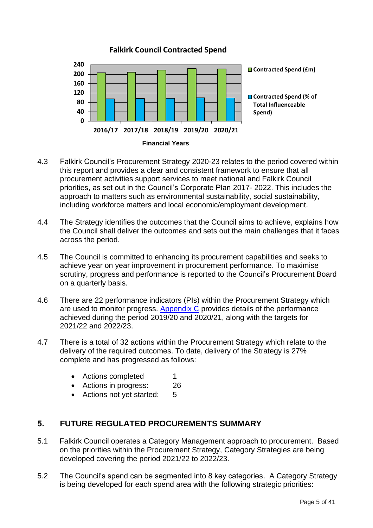

- 4.3 Falkirk Council's Procurement Strategy 2020-23 relates to the period covered within this report and provides a clear and consistent framework to ensure that all procurement activities support services to meet national and Falkirk Council priorities, as set out in the Council's Corporate Plan 2017- 2022. This includes the approach to matters such as environmental sustainability, social sustainability, including workforce matters and local economic/employment development.
- 4.4 The Strategy identifies the outcomes that the Council aims to achieve, explains how the Council shall deliver the outcomes and sets out the main challenges that it faces across the period.
- 4.5 The Council is committed to enhancing its procurement capabilities and seeks to achieve year on year improvement in procurement performance. To maximise scrutiny, progress and performance is reported to the Council's Procurement Board on a quarterly basis.
- 4.6 There are 22 performance indicators (PIs) within the Procurement Strategy which are used to monitor progress. [Appendix C](#page-30-0) provides details of the performance achieved during the period 2019/20 and 2020/21, along with the targets for 2021/22 and 2022/23.
- 4.7 There is a total of 32 actions within the Procurement Strategy which relate to the delivery of the required outcomes. To date, delivery of the Strategy is 27% complete and has progressed as follows:
	- Actions completed 1
	- Actions in progress: 26
	- Actions not yet started: 5

### <span id="page-4-0"></span>**5. FUTURE REGULATED PROCUREMENTS SUMMARY**

- 5.1 Falkirk Council operates a Category Management approach to procurement. Based on the priorities within the Procurement Strategy, Category Strategies are being developed covering the period 2021/22 to 2022/23.
- 5.2 The Council's spend can be segmented into 8 key categories. A Category Strategy is being developed for each spend area with the following strategic priorities: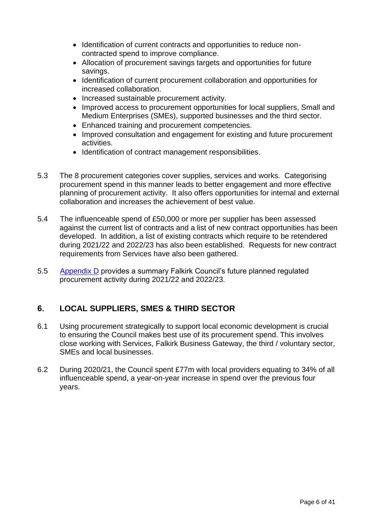- Identification of current contracts and opportunities to reduce noncontracted spend to improve compliance.
- Allocation of procurement savings targets and opportunities for future savings.
- Identification of current procurement collaboration and opportunities for increased collaboration.
- Increased sustainable procurement activity.
- Improved access to procurement opportunities for local suppliers, Small and Medium Enterprises (SMEs), supported businesses and the third sector.
- Enhanced training and procurement competencies.
- Improved consultation and engagement for existing and future procurement activities.
- Identification of contract management responsibilities.
- 5.3 The 8 procurement categories cover supplies, services and works. Categorising procurement spend in this manner leads to better engagement and more effective planning of procurement activity. It also offers opportunities for internal and external collaboration and increases the achievement of best value.
- 5.4 The influenceable spend of £50,000 or more per supplier has been assessed against the current list of contracts and a list of new contract opportunities has been developed. In addition, a list of existing contracts which require to be retendered during 2021/22 and 2022/23 has also been established. Requests for new contract requirements from Services have also been gathered.
- 5.5 Appendix D provides a summary Falkirk Council's future planned regulated procurement activity during 2021/22 and 2022/23.

### <span id="page-5-0"></span>**6. LOCAL SUPPLIERS, SMES & THIRD SECTOR**

- 6.1 Using procurement strategically to support local economic development is crucial to ensuring the Council makes best use of its procurement spend. This involves close working with Services, Falkirk Business Gateway, the third / voluntary sector, SMEs and local businesses.
- 6.2 During 2020/21, the Council spent £77m with local providers equating to 34% of all influenceable spend, a year-on-year increase in spend over the previous four years.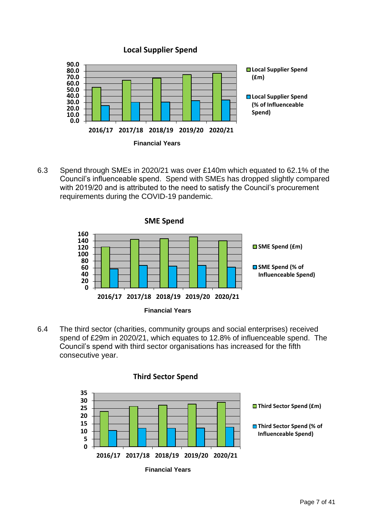



6.3 Spend through SMEs in 2020/21 was over £140m which equated to 62.1% of the Council's influenceable spend. Spend with SMEs has dropped slightly compared with 2019/20 and is attributed to the need to satisfy the Council's procurement requirements during the COVID-19 pandemic.



6.4 The third sector (charities, community groups and social enterprises) received spend of £29m in 2020/21, which equates to 12.8% of influenceable spend. The Council's spend with third sector organisations has increased for the fifth consecutive year.



#### **Third Sector Spend**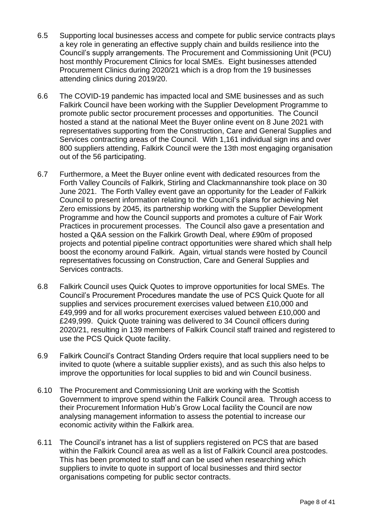- 6.5 Supporting local businesses access and compete for public service contracts plays a key role in generating an effective supply chain and builds resilience into the Council's supply arrangements. The Procurement and Commissioning Unit (PCU) host monthly Procurement Clinics for local SMEs. Eight businesses attended Procurement Clinics during 2020/21 which is a drop from the 19 businesses attending clinics during 2019/20.
- 6.6 The COVID-19 pandemic has impacted local and SME businesses and as such Falkirk Council have been working with the Supplier Development Programme to promote public sector procurement processes and opportunities. The Council hosted a stand at the national Meet the Buyer online event on 8 June 2021 with representatives supporting from the Construction, Care and General Supplies and Services contracting areas of the Council. With 1,161 individual sign ins and over 800 suppliers attending, Falkirk Council were the 13th most engaging organisation out of the 56 participating.
- 6.7 Furthermore, a Meet the Buyer online event with dedicated resources from the Forth Valley Councils of Falkirk, Stirling and Clackmannanshire took place on 30 June 2021. The Forth Valley event gave an opportunity for the Leader of Falkirk Council to present information relating to the Council's plans for achieving Net Zero emissions by 2045, its partnership working with the Supplier Development Programme and how the Council supports and promotes a culture of Fair Work Practices in procurement processes. The Council also gave a presentation and hosted a Q&A session on the Falkirk Growth Deal, where £90m of proposed projects and potential pipeline contract opportunities were shared which shall help boost the economy around Falkirk. Again, virtual stands were hosted by Council representatives focussing on Construction, Care and General Supplies and Services contracts.
- 6.8 Falkirk Council uses Quick Quotes to improve opportunities for local SMEs. The Council's Procurement Procedures mandate the use of PCS Quick Quote for all supplies and services procurement exercises valued between £10,000 and £49,999 and for all works procurement exercises valued between £10,000 and £249,999. Quick Quote training was delivered to 34 Council officers during 2020/21, resulting in 139 members of Falkirk Council staff trained and registered to use the PCS Quick Quote facility.
- 6.9 Falkirk Council's Contract Standing Orders require that local suppliers need to be invited to quote (where a suitable supplier exists), and as such this also helps to improve the opportunities for local supplies to bid and win Council business.
- 6.10 The Procurement and Commissioning Unit are working with the Scottish Government to improve spend within the Falkirk Council area. Through access to their Procurement Information Hub's Grow Local facility the Council are now analysing management information to assess the potential to increase our economic activity within the Falkirk area.
- 6.11 The Council's intranet has a list of suppliers registered on PCS that are based within the Falkirk Council area as well as a list of Falkirk Council area postcodes. This has been promoted to staff and can be used when researching which suppliers to invite to quote in support of local businesses and third sector organisations competing for public sector contracts.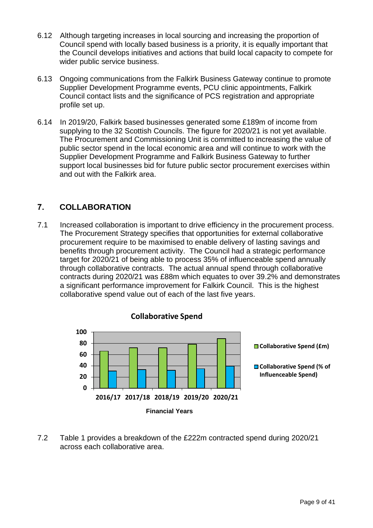- 6.12 Although targeting increases in local sourcing and increasing the proportion of Council spend with locally based business is a priority, it is equally important that the Council develops initiatives and actions that build local capacity to compete for wider public service business.
- 6.13 Ongoing communications from the Falkirk Business Gateway continue to promote Supplier Development Programme events, PCU clinic appointments, Falkirk Council contact lists and the significance of PCS registration and appropriate profile set up.
- 6.14 In 2019/20, Falkirk based businesses generated some £189m of income from supplying to the 32 Scottish Councils. The figure for 2020/21 is not yet available. The Procurement and Commissioning Unit is committed to increasing the value of public sector spend in the local economic area and will continue to work with the Supplier Development Programme and Falkirk Business Gateway to further support local businesses bid for future public sector procurement exercises within and out with the Falkirk area.

## <span id="page-8-0"></span>**7. COLLABORATION**

7.1 Increased collaboration is important to drive efficiency in the procurement process. The Procurement Strategy specifies that opportunities for external collaborative procurement require to be maximised to enable delivery of lasting savings and benefits through procurement activity. The Council had a strategic performance target for 2020/21 of being able to process 35% of influenceable spend annually through collaborative contracts. The actual annual spend through collaborative contracts during 2020/21 was £88m which equates to over 39.2% and demonstrates a significant performance improvement for Falkirk Council. This is the highest collaborative spend value out of each of the last five years.



7.2 Table 1 provides a breakdown of the £222m contracted spend during 2020/21 across each collaborative area.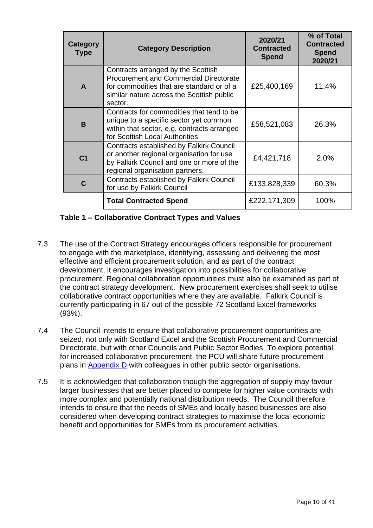| Category<br><b>Type</b> | <b>Category Description</b>                                                                                                                                                              | 2020/21<br><b>Contracted</b><br><b>Spend</b> | % of Total<br><b>Contracted</b><br><b>Spend</b><br>2020/21 |
|-------------------------|------------------------------------------------------------------------------------------------------------------------------------------------------------------------------------------|----------------------------------------------|------------------------------------------------------------|
| $\mathbf{A}$            | Contracts arranged by the Scottish<br><b>Procurement and Commercial Directorate</b><br>for commodities that are standard or of a<br>similar nature across the Scottish public<br>sector. | £25,400,169                                  | 11.4%                                                      |
| <sub>R</sub>            | Contracts for commodities that tend to be<br>unique to a specific sector yet common<br>within that sector, e.g. contracts arranged<br>for Scottish Local Authorities                     | £58,521,083                                  | 26.3%                                                      |
| C <sub>1</sub>          | <b>Contracts established by Falkirk Council</b><br>or another regional organisation for use<br>by Falkirk Council and one or more of the<br>regional organisation partners.              | £4,421,718                                   | 2.0%                                                       |
| C                       | <b>Contracts established by Falkirk Council</b><br>for use by Falkirk Council                                                                                                            | £133,828,339                                 | 60.3%                                                      |
|                         | <b>Total Contracted Spend</b>                                                                                                                                                            | £222,171,309                                 | 100%                                                       |

#### **Table 1 – Collaborative Contract Types and Values**

- 7.3 The use of the Contract Strategy encourages officers responsible for procurement to engage with the marketplace, identifying, assessing and delivering the most effective and efficient procurement solution, and as part of the contract development, it encourages investigation into possibilities for collaborative procurement. Regional collaboration opportunities must also be examined as part of the contract strategy development. New procurement exercises shall seek to utilise collaborative contract opportunities where they are available. Falkirk Council is currently participating in 67 out of the possible 72 Scotland Excel frameworks (93%).
- 7.4 The Council intends to ensure that collaborative procurement opportunities are seized, not only with Scotland Excel and the Scottish Procurement and Commercial Directorate, but with other Councils and Public Sector Bodies. To explore potential for increased collaborative procurement, the PCU will share future procurement plans in Appendix D with colleagues in other public sector organisations.
- 7.5 It is acknowledged that collaboration though the aggregation of supply may favour larger businesses that are better placed to compete for higher value contracts with more complex and potentially national distribution needs. The Council therefore intends to ensure that the needs of SMEs and locally based businesses are also considered when developing contract strategies to maximise the local economic benefit and opportunities for SMEs from its procurement activities.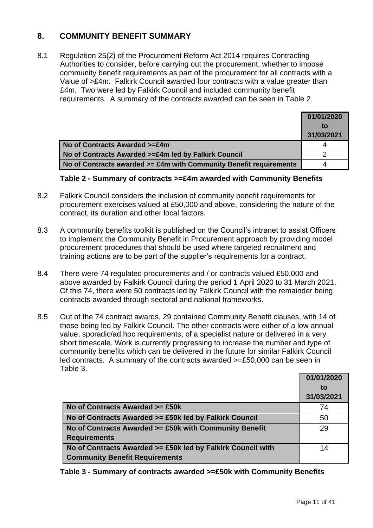### <span id="page-10-0"></span>**8. COMMUNITY BENEFIT SUMMARY**

8.1 Regulation 25(2) of the Procurement Reform Act 2014 requires Contracting Authorities to consider, before carrying out the procurement, whether to impose community benefit requirements as part of the procurement for all contracts with a Value of >£4m. Falkirk Council awarded four contracts with a value greater than £4m. Two were led by Falkirk Council and included community benefit requirements. A summary of the contracts awarded can be seen in Table 2.

|                                                                    | 01/01/2020 |
|--------------------------------------------------------------------|------------|
|                                                                    | to         |
|                                                                    | 31/03/2021 |
| No of Contracts Awarded >=£4m                                      |            |
| No of Contracts Awarded >=£4m led by Falkirk Council               |            |
| No of Contracts awarded >= £4m with Community Benefit requirements |            |

#### **Table 2 - Summary of contracts >=£4m awarded with Community Benefits**

- 8.2 Falkirk Council considers the inclusion of community benefit requirements for procurement exercises valued at £50,000 and above, considering the nature of the contract, its duration and other local factors.
- 8.3 A community benefits toolkit is published on the Council's intranet to assist Officers to implement the Community Benefit in Procurement approach by providing model procurement procedures that should be used where targeted recruitment and training actions are to be part of the supplier's requirements for a contract.
- 8.4 There were 74 regulated procurements and / or contracts valued £50,000 and above awarded by Falkirk Council during the period 1 April 2020 to 31 March 2021. Of this 74, there were 50 contracts led by Falkirk Council with the remainder being contracts awarded through sectoral and national frameworks.
- 8.5 Out of the 74 contract awards, 29 contained Community Benefit clauses, with 14 of those being led by Falkirk Council. The other contracts were either of a low annual value, sporadic/ad hoc requirements, of a specialist nature or delivered in a very short timescale. Work is currently progressing to increase the number and type of community benefits which can be delivered in the future for similar Falkirk Council led contracts. A summary of the contracts awarded >=£50,000 can be seen in Table 3.

|                                                                                                      | 01/01/2020<br>to<br>31/03/2021 |
|------------------------------------------------------------------------------------------------------|--------------------------------|
| No of Contracts Awarded >= £50k                                                                      | 74                             |
| No of Contracts Awarded >= £50k led by Falkirk Council                                               | 50                             |
| No of Contracts Awarded >= £50k with Community Benefit<br><b>Requirements</b>                        | 29                             |
| No of Contracts Awarded >= £50k led by Falkirk Council with<br><b>Community Benefit Requirements</b> | 14                             |

**Table 3 - Summary of contracts awarded >=£50k with Community Benefits**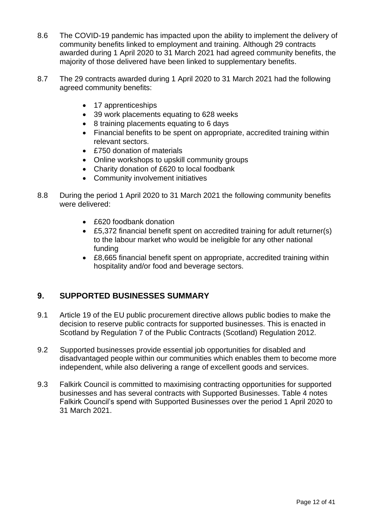- 8.6 The COVID-19 pandemic has impacted upon the ability to implement the delivery of community benefits linked to employment and training. Although 29 contracts awarded during 1 April 2020 to 31 March 2021 had agreed community benefits, the majority of those delivered have been linked to supplementary benefits.
- 8.7 The 29 contracts awarded during 1 April 2020 to 31 March 2021 had the following agreed community benefits:
	- 17 apprenticeships
	- 39 work placements equating to 628 weeks
	- 8 training placements equating to 6 days
	- Financial benefits to be spent on appropriate, accredited training within relevant sectors.
	- £750 donation of materials
	- Online workshops to upskill community groups
	- Charity donation of £620 to local foodbank
	- Community involvement initiatives
- 8.8 During the period 1 April 2020 to 31 March 2021 the following community benefits were delivered:
	- £620 foodbank donation
	- £5,372 financial benefit spent on accredited training for adult returner(s) to the labour market who would be ineligible for any other national funding
	- £8,665 financial benefit spent on appropriate, accredited training within hospitality and/or food and beverage sectors.

#### <span id="page-11-0"></span>**9. SUPPORTED BUSINESSES SUMMARY**

- 9.1 Article 19 of the EU public procurement directive allows public bodies to make the decision to reserve public contracts for supported businesses. This is enacted in Scotland by Regulation 7 of the Public Contracts (Scotland) Regulation 2012.
- 9.2 Supported businesses provide essential job opportunities for disabled and disadvantaged people within our communities which enables them to become more independent, while also delivering a range of excellent goods and services.
- 9.3 Falkirk Council is committed to maximising contracting opportunities for supported businesses and has several contracts with Supported Businesses. Table 4 notes Falkirk Council's spend with Supported Businesses over the period 1 April 2020 to 31 March 2021.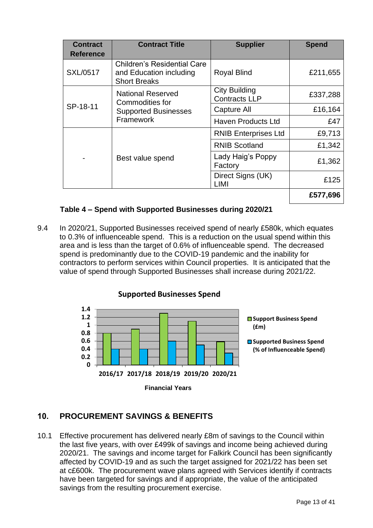| <b>Contract</b>  | <b>Contract Title</b>                                                                | <b>Supplier</b>                              | <b>Spend</b> |
|------------------|--------------------------------------------------------------------------------------|----------------------------------------------|--------------|
| <b>Reference</b> |                                                                                      |                                              |              |
| <b>SXL/0517</b>  | <b>Children's Residential Care</b><br>and Education including<br><b>Short Breaks</b> | <b>Royal Blind</b>                           | £211,655     |
|                  | <b>National Reserved</b><br>Commodities for                                          | <b>City Building</b><br><b>Contracts LLP</b> | £337,288     |
| SP-18-11         | <b>Supported Businesses</b><br>Framework                                             | Capture All                                  | £16,164      |
|                  |                                                                                      | <b>Haven Products Ltd</b>                    | £47          |
|                  | Best value spend                                                                     | <b>RNIB Enterprises Ltd</b>                  | £9,713       |
|                  |                                                                                      | <b>RNIB Scotland</b>                         | £1,342       |
|                  |                                                                                      | Lady Haig's Poppy<br>Factory                 | £1,362       |
|                  |                                                                                      | Direct Signs (UK)<br>LIMI                    | £125         |
|                  |                                                                                      |                                              | £577,696     |

#### **Table 4 – Spend with Supported Businesses during 2020/21**

9.4 In 2020/21, Supported Businesses received spend of nearly £580k, which equates to 0.3% of influenceable spend. This is a reduction on the usual spend within this area and is less than the target of 0.6% of influenceable spend. The decreased spend is predominantly due to the COVID-19 pandemic and the inability for contractors to perform services within Council properties. It is anticipated that the value of spend through Supported Businesses shall increase during 2021/22.



#### <span id="page-12-0"></span>**10. PROCUREMENT SAVINGS & BENEFITS**

10.1 Effective procurement has delivered nearly £8m of savings to the Council within the last five years, with over £499k of savings and income being achieved during 2020/21. The savings and income target for Falkirk Council has been significantly affected by COVID-19 and as such the target assigned for 2021/22 has been set at c£600k. The procurement wave plans agreed with Services identify if contracts have been targeted for savings and if appropriate, the value of the anticipated savings from the resulting procurement exercise.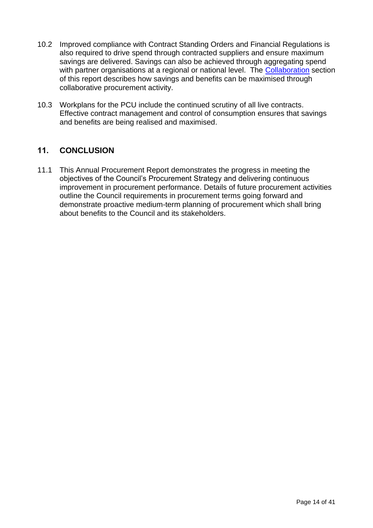- 10.2 Improved compliance with Contract Standing Orders and Financial Regulations is also required to drive spend through contracted suppliers and ensure maximum savings are delivered. Savings can also be achieved through aggregating spend with partner organisations at a regional or national level. The [Collaboration](#page-8-0) section of this report describes how savings and benefits can be maximised through collaborative procurement activity.
- 10.3 Workplans for the PCU include the continued scrutiny of all live contracts. Effective contract management and control of consumption ensures that savings and benefits are being realised and maximised.

### <span id="page-13-0"></span>**11. CONCLUSION**

<span id="page-13-1"></span>11.1 This Annual Procurement Report demonstrates the progress in meeting the objectives of the Council's Procurement Strategy and delivering continuous improvement in procurement performance. Details of future procurement activities outline the Council requirements in procurement terms going forward and demonstrate proactive medium-term planning of procurement which shall bring about benefits to the Council and its stakeholders.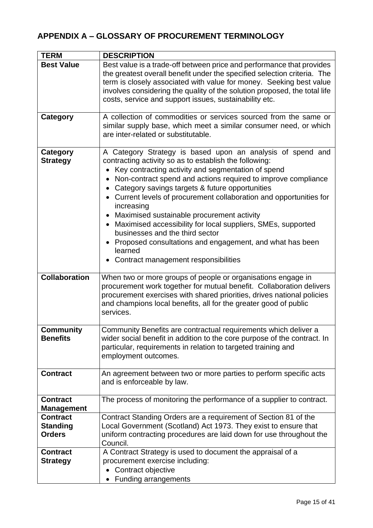# <span id="page-14-0"></span>**APPENDIX A – GLOSSARY OF PROCUREMENT TERMINOLOGY**

| <b>TERM</b>                                         | <b>DESCRIPTION</b>                                                                                                                                                                                                                                                                                                                                                                                                                                                                                                                                                                                                                                                                         |
|-----------------------------------------------------|--------------------------------------------------------------------------------------------------------------------------------------------------------------------------------------------------------------------------------------------------------------------------------------------------------------------------------------------------------------------------------------------------------------------------------------------------------------------------------------------------------------------------------------------------------------------------------------------------------------------------------------------------------------------------------------------|
| <b>Best Value</b>                                   | Best value is a trade-off between price and performance that provides<br>the greatest overall benefit under the specified selection criteria. The<br>term is closely associated with value for money. Seeking best value<br>involves considering the quality of the solution proposed, the total life<br>costs, service and support issues, sustainability etc.                                                                                                                                                                                                                                                                                                                            |
| Category                                            | A collection of commodities or services sourced from the same or<br>similar supply base, which meet a similar consumer need, or which<br>are inter-related or substitutable.                                                                                                                                                                                                                                                                                                                                                                                                                                                                                                               |
| Category<br><b>Strategy</b>                         | A Category Strategy is based upon an analysis of spend and<br>contracting activity so as to establish the following:<br>Key contracting activity and segmentation of spend<br>$\bullet$<br>Non-contract spend and actions required to improve compliance<br>Category savings targets & future opportunities<br>Current levels of procurement collaboration and opportunities for<br>$\bullet$<br>increasing<br>Maximised sustainable procurement activity<br>$\bullet$<br>Maximised accessibility for local suppliers, SMEs, supported<br>businesses and the third sector<br>Proposed consultations and engagement, and what has been<br>learned<br>• Contract management responsibilities |
| <b>Collaboration</b>                                | When two or more groups of people or organisations engage in<br>procurement work together for mutual benefit. Collaboration delivers<br>procurement exercises with shared priorities, drives national policies<br>and champions local benefits, all for the greater good of public<br>services.                                                                                                                                                                                                                                                                                                                                                                                            |
| <b>Community</b><br><b>Benefits</b>                 | Community Benefits are contractual requirements which deliver a<br>wider social benefit in addition to the core purpose of the contract. In<br>particular, requirements in relation to targeted training and<br>employment outcomes.                                                                                                                                                                                                                                                                                                                                                                                                                                                       |
| <b>Contract</b>                                     | An agreement between two or more parties to perform specific acts<br>and is enforceable by law.                                                                                                                                                                                                                                                                                                                                                                                                                                                                                                                                                                                            |
| <b>Contract</b><br><b>Management</b>                | The process of monitoring the performance of a supplier to contract.                                                                                                                                                                                                                                                                                                                                                                                                                                                                                                                                                                                                                       |
| <b>Contract</b><br><b>Standing</b><br><b>Orders</b> | Contract Standing Orders are a requirement of Section 81 of the<br>Local Government (Scotland) Act 1973. They exist to ensure that<br>uniform contracting procedures are laid down for use throughout the<br>Council.                                                                                                                                                                                                                                                                                                                                                                                                                                                                      |
| <b>Contract</b><br><b>Strategy</b>                  | A Contract Strategy is used to document the appraisal of a<br>procurement exercise including:<br>Contract objective<br>• Funding arrangements                                                                                                                                                                                                                                                                                                                                                                                                                                                                                                                                              |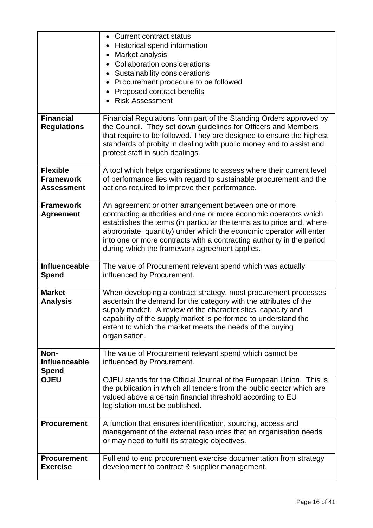|                    | Current contract status<br>$\bullet$                                                                                                      |
|--------------------|-------------------------------------------------------------------------------------------------------------------------------------------|
|                    | Historical spend information<br>$\bullet$                                                                                                 |
|                    | Market analysis<br>$\bullet$                                                                                                              |
|                    | <b>Collaboration considerations</b>                                                                                                       |
|                    | Sustainability considerations                                                                                                             |
|                    | Procurement procedure to be followed                                                                                                      |
|                    | Proposed contract benefits<br>$\bullet$                                                                                                   |
|                    | <b>Risk Assessment</b>                                                                                                                    |
|                    |                                                                                                                                           |
| <b>Financial</b>   | Financial Regulations form part of the Standing Orders approved by<br>the Council. They set down guidelines for Officers and Members      |
| <b>Regulations</b> | that require to be followed. They are designed to ensure the highest                                                                      |
|                    | standards of probity in dealing with public money and to assist and                                                                       |
|                    | protect staff in such dealings.                                                                                                           |
|                    |                                                                                                                                           |
| <b>Flexible</b>    | A tool which helps organisations to assess where their current level                                                                      |
| <b>Framework</b>   | of performance lies with regard to sustainable procurement and the                                                                        |
| <b>Assessment</b>  | actions required to improve their performance.                                                                                            |
|                    |                                                                                                                                           |
| <b>Framework</b>   | An agreement or other arrangement between one or more                                                                                     |
| <b>Agreement</b>   | contracting authorities and one or more economic operators which<br>establishes the terms (in particular the terms as to price and, where |
|                    | appropriate, quantity) under which the economic operator will enter                                                                       |
|                    | into one or more contracts with a contracting authority in the period                                                                     |
|                    | during which the framework agreement applies.                                                                                             |
|                    |                                                                                                                                           |
| Influenceable      | The value of Procurement relevant spend which was actually                                                                                |
| <b>Spend</b>       | influenced by Procurement.                                                                                                                |
|                    |                                                                                                                                           |
| <b>Market</b>      | When developing a contract strategy, most procurement processes                                                                           |
| <b>Analysis</b>    | ascertain the demand for the category with the attributes of the                                                                          |
|                    | supply market. A review of the characteristics, capacity and<br>capability of the supply market is performed to understand the            |
|                    | extent to which the market meets the needs of the buying                                                                                  |
|                    | organisation.                                                                                                                             |
|                    |                                                                                                                                           |
| Non-               | The value of Procurement relevant spend which cannot be                                                                                   |
| Influenceable      | influenced by Procurement.                                                                                                                |
| Spend              |                                                                                                                                           |
| <b>OJEU</b>        | OJEU stands for the Official Journal of the European Union. This is                                                                       |
|                    | the publication in which all tenders from the public sector which are<br>valued above a certain financial threshold according to EU       |
|                    | legislation must be published.                                                                                                            |
|                    |                                                                                                                                           |
| <b>Procurement</b> | A function that ensures identification, sourcing, access and                                                                              |
|                    | management of the external resources that an organisation needs                                                                           |
|                    | or may need to fulfil its strategic objectives.                                                                                           |
|                    |                                                                                                                                           |
| <b>Procurement</b> | Full end to end procurement exercise documentation from strategy                                                                          |
| <b>Exercise</b>    | development to contract & supplier management.                                                                                            |
|                    |                                                                                                                                           |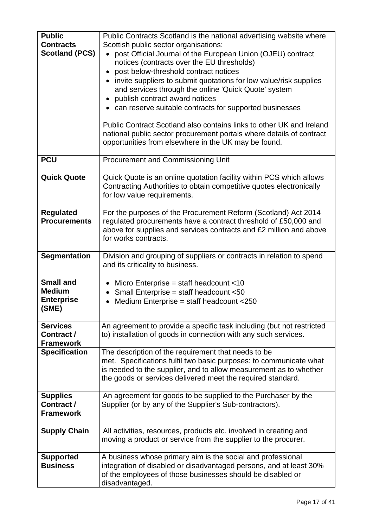| <b>Public</b><br><b>Contracts</b><br><b>Scotland (PCS)</b>      | Public Contracts Scotland is the national advertising website where<br>Scottish public sector organisations:<br>• post Official Journal of the European Union (OJEU) contract<br>notices (contracts over the EU thresholds)<br>post below-threshold contract notices<br>invite suppliers to submit quotations for low value/risk supplies<br>$\bullet$<br>and services through the online 'Quick Quote' system<br>publish contract award notices<br>$\bullet$<br>• can reserve suitable contracts for supported businesses<br>Public Contract Scotland also contains links to other UK and Ireland<br>national public sector procurement portals where details of contract<br>opportunities from elsewhere in the UK may be found. |
|-----------------------------------------------------------------|------------------------------------------------------------------------------------------------------------------------------------------------------------------------------------------------------------------------------------------------------------------------------------------------------------------------------------------------------------------------------------------------------------------------------------------------------------------------------------------------------------------------------------------------------------------------------------------------------------------------------------------------------------------------------------------------------------------------------------|
| <b>PCU</b>                                                      | <b>Procurement and Commissioning Unit</b>                                                                                                                                                                                                                                                                                                                                                                                                                                                                                                                                                                                                                                                                                          |
| <b>Quick Quote</b>                                              | Quick Quote is an online quotation facility within PCS which allows<br>Contracting Authorities to obtain competitive quotes electronically<br>for low value requirements.                                                                                                                                                                                                                                                                                                                                                                                                                                                                                                                                                          |
| <b>Regulated</b><br><b>Procurements</b>                         | For the purposes of the Procurement Reform (Scotland) Act 2014<br>regulated procurements have a contract threshold of £50,000 and<br>above for supplies and services contracts and £2 million and above<br>for works contracts.                                                                                                                                                                                                                                                                                                                                                                                                                                                                                                    |
| <b>Segmentation</b>                                             | Division and grouping of suppliers or contracts in relation to spend<br>and its criticality to business.                                                                                                                                                                                                                                                                                                                                                                                                                                                                                                                                                                                                                           |
| <b>Small and</b><br><b>Medium</b><br><b>Enterprise</b><br>(SME) | Micro Enterprise = staff headcount $<$ 10<br>$\bullet$<br>Small Enterprise = staff headcount <50<br>$\bullet$<br>Medium Enterprise = staff headcount <250<br>$\bullet$                                                                                                                                                                                                                                                                                                                                                                                                                                                                                                                                                             |
| <b>Services</b><br>Contract /<br><b>Framework</b>               | An agreement to provide a specific task including (but not restricted<br>to) installation of goods in connection with any such services.                                                                                                                                                                                                                                                                                                                                                                                                                                                                                                                                                                                           |
| <b>Specification</b>                                            | The description of the requirement that needs to be<br>met. Specifications fulfil two basic purposes: to communicate what<br>is needed to the supplier, and to allow measurement as to whether<br>the goods or services delivered meet the required standard.                                                                                                                                                                                                                                                                                                                                                                                                                                                                      |
| <b>Supplies</b><br>Contract /<br><b>Framework</b>               | An agreement for goods to be supplied to the Purchaser by the<br>Supplier (or by any of the Supplier's Sub-contractors).                                                                                                                                                                                                                                                                                                                                                                                                                                                                                                                                                                                                           |
| <b>Supply Chain</b>                                             | All activities, resources, products etc. involved in creating and<br>moving a product or service from the supplier to the procurer.                                                                                                                                                                                                                                                                                                                                                                                                                                                                                                                                                                                                |
| <b>Supported</b><br><b>Business</b>                             | A business whose primary aim is the social and professional<br>integration of disabled or disadvantaged persons, and at least 30%<br>of the employees of those businesses should be disabled or<br>disadvantaged.                                                                                                                                                                                                                                                                                                                                                                                                                                                                                                                  |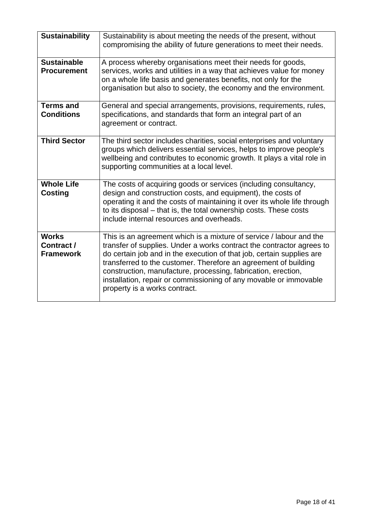| <b>Sustainability</b>                          | Sustainability is about meeting the needs of the present, without<br>compromising the ability of future generations to meet their needs.                                                                                                                                                                                                                                                                                                                        |
|------------------------------------------------|-----------------------------------------------------------------------------------------------------------------------------------------------------------------------------------------------------------------------------------------------------------------------------------------------------------------------------------------------------------------------------------------------------------------------------------------------------------------|
| <b>Sustainable</b><br><b>Procurement</b>       | A process whereby organisations meet their needs for goods,<br>services, works and utilities in a way that achieves value for money<br>on a whole life basis and generates benefits, not only for the<br>organisation but also to society, the economy and the environment.                                                                                                                                                                                     |
| <b>Terms and</b><br><b>Conditions</b>          | General and special arrangements, provisions, requirements, rules,<br>specifications, and standards that form an integral part of an<br>agreement or contract.                                                                                                                                                                                                                                                                                                  |
| <b>Third Sector</b>                            | The third sector includes charities, social enterprises and voluntary<br>groups which delivers essential services, helps to improve people's<br>wellbeing and contributes to economic growth. It plays a vital role in<br>supporting communities at a local level.                                                                                                                                                                                              |
| <b>Whole Life</b><br><b>Costing</b>            | The costs of acquiring goods or services (including consultancy,<br>design and construction costs, and equipment), the costs of<br>operating it and the costs of maintaining it over its whole life through<br>to its disposal – that is, the total ownership costs. These costs<br>include internal resources and overheads.                                                                                                                                   |
| <b>Works</b><br>Contract /<br><b>Framework</b> | This is an agreement which is a mixture of service / labour and the<br>transfer of supplies. Under a works contract the contractor agrees to<br>do certain job and in the execution of that job, certain supplies are<br>transferred to the customer. Therefore an agreement of building<br>construction, manufacture, processing, fabrication, erection,<br>installation, repair or commissioning of any movable or immovable<br>property is a works contract. |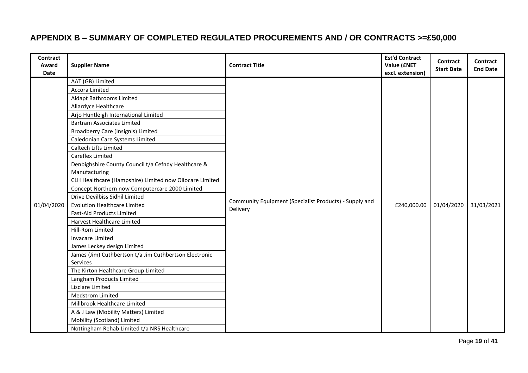# **APPENDIX B – SUMMARY OF COMPLETED REGULATED PROCUREMENTS AND / OR CONTRACTS >=£50,000**

<span id="page-18-0"></span>

| <b>Supplier Name</b>                                                                                                                                                                                                                                                                                                                                                                                                                                                                                                                                                                                                                                                                                                                                                                                                                                                 | <b>Contract Title</b>                                              | <b>Est'd Contract</b><br>Value (ENET<br>excl. extension) | Contract<br><b>Start Date</b> | Contract<br><b>End Date</b> |
|----------------------------------------------------------------------------------------------------------------------------------------------------------------------------------------------------------------------------------------------------------------------------------------------------------------------------------------------------------------------------------------------------------------------------------------------------------------------------------------------------------------------------------------------------------------------------------------------------------------------------------------------------------------------------------------------------------------------------------------------------------------------------------------------------------------------------------------------------------------------|--------------------------------------------------------------------|----------------------------------------------------------|-------------------------------|-----------------------------|
| AAT (GB) Limited<br>Accora Limited<br>Aidapt Bathrooms Limited<br>Allardyce Healthcare<br>Arjo Huntleigh International Limited<br><b>Bartram Associates Limited</b><br>Broadberry Care (Insignis) Limited<br>Caledonian Care Systems Limited<br>Caltech Lifts Limited<br>Careflex Limited<br>Denbighshire County Council t/a Cefndy Healthcare &<br>Manufacturing<br>CLH Healthcare (Hampshire) Limited now Oiiocare Limited<br>Concept Northern now Computercare 2000 Limited<br>Drive Devilbiss Sidhil Limited<br><b>Evolution Healthcare Limited</b><br><b>Fast-Aid Products Limited</b><br>Harvest Healthcare Limited<br>Hill-Rom Limited<br><b>Invacare Limited</b><br>James Leckey design Limited<br>James (Jim) Cuthbertson t/a Jim Cuthbertson Electronic<br>Services<br>The Kirton Healthcare Group Limited<br>Langham Products Limited<br>Lisclare Limited | Community Equipment (Specialist Products) - Supply and<br>Delivery | £240,000.00                                              | 01/04/2020                    | 31/03/2021                  |
| <b>Medstrom Limited</b><br>Millbrook Healthcare Limited<br>A & J Law (Mobility Matters) Limited<br>Mobility (Scotland) Limited                                                                                                                                                                                                                                                                                                                                                                                                                                                                                                                                                                                                                                                                                                                                       |                                                                    |                                                          |                               |                             |
|                                                                                                                                                                                                                                                                                                                                                                                                                                                                                                                                                                                                                                                                                                                                                                                                                                                                      | Nottingham Rehab Limited t/a NRS Healthcare                        |                                                          |                               |                             |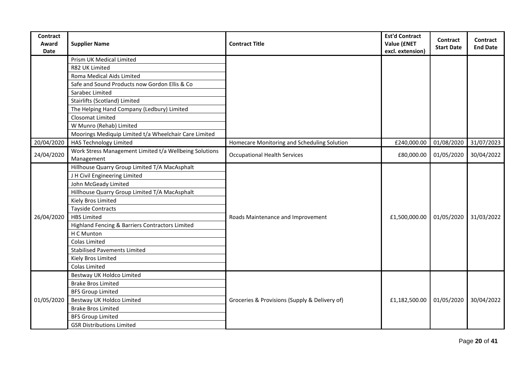| <b>Contract</b><br>Award<br>Date | <b>Supplier Name</b>                                                 | <b>Contract Title</b>                         | <b>Est'd Contract</b><br>Value (£NET<br>excl. extension) | Contract<br><b>Start Date</b> | Contract<br><b>End Date</b> |
|----------------------------------|----------------------------------------------------------------------|-----------------------------------------------|----------------------------------------------------------|-------------------------------|-----------------------------|
|                                  | Prism UK Medical Limited                                             |                                               |                                                          |                               |                             |
|                                  | R82 UK Limited                                                       |                                               |                                                          |                               |                             |
|                                  | Roma Medical Aids Limited                                            |                                               |                                                          |                               |                             |
|                                  | Safe and Sound Products now Gordon Ellis & Co                        |                                               |                                                          |                               |                             |
|                                  | Sarabec Limited                                                      |                                               |                                                          |                               |                             |
|                                  | Stairlifts (Scotland) Limited                                        |                                               |                                                          |                               |                             |
|                                  | The Helping Hand Company (Ledbury) Limited                           |                                               |                                                          |                               |                             |
|                                  | Closomat Limited                                                     |                                               |                                                          |                               |                             |
|                                  | W Munro (Rehab) Limited                                              |                                               |                                                          |                               |                             |
|                                  | Moorings Mediquip Limited t/a Wheelchair Care Limited                |                                               |                                                          |                               |                             |
| 20/04/2020                       | <b>HAS Technology Limited</b>                                        | Homecare Monitoring and Scheduling Solution   | £240,000.00                                              | 01/08/2020                    | 31/07/2023                  |
| 24/04/2020                       | Work Stress Management Limited t/a Wellbeing Solutions<br>Management | <b>Occupational Health Services</b>           | £80,000.00                                               | 01/05/2020                    | 30/04/2022                  |
|                                  | Hillhouse Quarry Group Limited T/A MacAsphalt                        |                                               |                                                          |                               |                             |
|                                  | J H Civil Engineering Limited                                        |                                               | £1,500,000.00                                            | 01/05/2020                    | 31/03/2022                  |
|                                  | John McGeady Limited                                                 |                                               |                                                          |                               |                             |
|                                  | Hillhouse Quarry Group Limited T/A MacAsphalt                        |                                               |                                                          |                               |                             |
|                                  | Kiely Bros Limited                                                   |                                               |                                                          |                               |                             |
|                                  | <b>Tayside Contracts</b>                                             |                                               |                                                          |                               |                             |
| 26/04/2020                       | <b>HBS Limited</b>                                                   | Roads Maintenance and Improvement             |                                                          |                               |                             |
|                                  | Highland Fencing & Barriers Contractors Limited                      |                                               |                                                          |                               |                             |
|                                  | H C Munton                                                           |                                               |                                                          |                               |                             |
|                                  | Colas Limited                                                        |                                               |                                                          |                               |                             |
|                                  | <b>Stabilised Pavements Limited</b>                                  |                                               |                                                          |                               |                             |
|                                  | Kiely Bros Limited                                                   |                                               |                                                          |                               |                             |
|                                  | Colas Limited                                                        |                                               |                                                          |                               |                             |
|                                  | Bestway UK Holdco Limited                                            |                                               |                                                          |                               |                             |
|                                  | <b>Brake Bros Limited</b>                                            |                                               |                                                          |                               | 30/04/2022                  |
|                                  | <b>BFS Group Limited</b>                                             |                                               | £1,182,500.00                                            | 01/05/2020                    |                             |
| 01/05/2020                       | Bestway UK Holdco Limited                                            | Groceries & Provisions (Supply & Delivery of) |                                                          |                               |                             |
|                                  | <b>Brake Bros Limited</b>                                            |                                               |                                                          |                               |                             |
|                                  | <b>BFS Group Limited</b>                                             |                                               |                                                          |                               |                             |
|                                  | <b>GSR Distributions Limited</b>                                     |                                               |                                                          |                               |                             |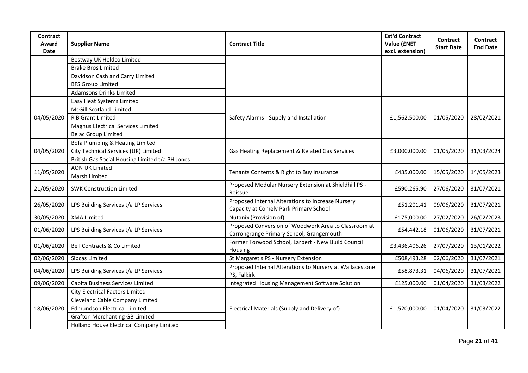| <b>Contract</b><br>Award<br>Date | <b>Supplier Name</b>                            | <b>Contract Title</b>                                                                            | <b>Est'd Contract</b><br>Value (£NET<br>excl. extension) | <b>Contract</b><br><b>Start Date</b> | <b>Contract</b><br><b>End Date</b> |
|----------------------------------|-------------------------------------------------|--------------------------------------------------------------------------------------------------|----------------------------------------------------------|--------------------------------------|------------------------------------|
|                                  | Bestway UK Holdco Limited                       |                                                                                                  |                                                          |                                      |                                    |
|                                  | <b>Brake Bros Limited</b>                       |                                                                                                  |                                                          |                                      |                                    |
|                                  | Davidson Cash and Carry Limited                 |                                                                                                  |                                                          |                                      |                                    |
|                                  | <b>BFS Group Limited</b>                        |                                                                                                  |                                                          |                                      |                                    |
|                                  | <b>Adamsons Drinks Limited</b>                  |                                                                                                  |                                                          |                                      |                                    |
|                                  | Easy Heat Systems Limited                       |                                                                                                  |                                                          |                                      | 28/02/2021                         |
|                                  | <b>McGill Scotland Limited</b>                  |                                                                                                  |                                                          |                                      |                                    |
| 04/05/2020                       | R B Grant Limited                               | Safety Alarms - Supply and Installation                                                          | £1,562,500.00                                            | 01/05/2020                           |                                    |
|                                  | Magnus Electrical Services Limited              |                                                                                                  |                                                          |                                      |                                    |
|                                  | <b>Belac Group Limited</b>                      |                                                                                                  |                                                          |                                      |                                    |
|                                  | Bofa Plumbing & Heating Limited                 |                                                                                                  |                                                          |                                      | 31/03/2024                         |
| 04/05/2020                       | City Technical Services (UK) Limited            | Gas Heating Replacement & Related Gas Services                                                   | £3,000,000.00                                            | 01/05/2020                           |                                    |
|                                  | British Gas Social Housing Limited t/a PH Jones |                                                                                                  |                                                          |                                      |                                    |
| 11/05/2020                       | <b>AON UK Limited</b>                           | Tenants Contents & Right to Buy Insurance                                                        | £435,000.00                                              | 15/05/2020                           | 14/05/2023                         |
|                                  | Marsh Limited                                   |                                                                                                  |                                                          |                                      |                                    |
| 21/05/2020                       | <b>SWK Construction Limited</b>                 | Proposed Modular Nursery Extension at Shieldhill PS -<br>Reissue                                 | £590,265.90                                              | 27/06/2020                           | 31/07/2021                         |
| 26/05/2020                       | LPS Building Services t/a LP Services           | Proposed Internal Alterations to Increase Nursery<br>Capacity at Comely Park Primary School      | £51,201.41                                               | 09/06/2020                           | 31/07/2021                         |
| 30/05/2020                       | <b>XMA Limited</b>                              | Nutanix (Provision of)                                                                           | £175,000.00                                              | 27/02/2020                           | 26/02/2023                         |
| 01/06/2020                       | LPS Building Services t/a LP Services           | Proposed Conversion of Woodwork Area to Classroom at<br>Carrongrange Primary School, Grangemouth | £54,442.18                                               | 01/06/2020                           | 31/07/2021                         |
| 01/06/2020                       | Bell Contracts & Co Limited                     | Former Torwood School, Larbert - New Build Council<br>Housing                                    | £3,436,406.26                                            | 27/07/2020                           | 13/01/2022                         |
| 02/06/2020                       | Sibcas Limited                                  | St Margaret's PS - Nursery Extension                                                             | £508,493.28                                              | 02/06/2020                           | 31/07/2021                         |
| 04/06/2020                       | LPS Building Services t/a LP Services           | Proposed Internal Alterations to Nursery at Wallacestone<br>PS, Falkirk                          | £58,873.31                                               | 04/06/2020                           | 31/07/2021                         |
| 09/06/2020                       | Capita Business Services Limited                | Integrated Housing Management Software Solution                                                  | £125,000.00                                              | 01/04/2020                           | 31/03/2022                         |
|                                  | <b>City Electrical Factors Limited</b>          |                                                                                                  |                                                          |                                      |                                    |
|                                  | Cleveland Cable Company Limited                 |                                                                                                  |                                                          |                                      |                                    |
| 18/06/2020                       | <b>Edmundson Electrical Limited</b>             | Electrical Materials (Supply and Delivery of)                                                    | £1,520,000.00                                            | 01/04/2020                           | 31/03/2022                         |
|                                  | <b>Grafton Merchanting GB Limited</b>           |                                                                                                  |                                                          |                                      |                                    |
|                                  | Holland House Electrical Company Limited        |                                                                                                  |                                                          |                                      |                                    |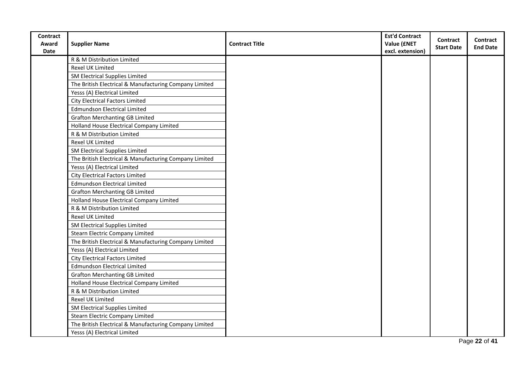| Contract    |                                                        |                       | <b>Est'd Contract</b> | <b>Contract</b>   | Contract        |
|-------------|--------------------------------------------------------|-----------------------|-----------------------|-------------------|-----------------|
| Award       | <b>Supplier Name</b>                                   | <b>Contract Title</b> | Value (£NET           | <b>Start Date</b> | <b>End Date</b> |
| <b>Date</b> |                                                        |                       | excl. extension)      |                   |                 |
|             | R & M Distribution Limited                             |                       |                       |                   |                 |
|             | Rexel UK Limited                                       |                       |                       |                   |                 |
|             | SM Electrical Supplies Limited                         |                       |                       |                   |                 |
|             | The British Electrical & Manufacturing Company Limited |                       |                       |                   |                 |
|             | Yesss (A) Electrical Limited                           |                       |                       |                   |                 |
|             | <b>City Electrical Factors Limited</b>                 |                       |                       |                   |                 |
|             | <b>Edmundson Electrical Limited</b>                    |                       |                       |                   |                 |
|             | <b>Grafton Merchanting GB Limited</b>                  |                       |                       |                   |                 |
|             | Holland House Electrical Company Limited               |                       |                       |                   |                 |
|             | R & M Distribution Limited                             |                       |                       |                   |                 |
|             | Rexel UK Limited                                       |                       |                       |                   |                 |
|             | SM Electrical Supplies Limited                         |                       |                       |                   |                 |
|             | The British Electrical & Manufacturing Company Limited |                       |                       |                   |                 |
|             | Yesss (A) Electrical Limited                           |                       |                       |                   |                 |
|             | <b>City Electrical Factors Limited</b>                 |                       |                       |                   |                 |
|             | <b>Edmundson Electrical Limited</b>                    |                       |                       |                   |                 |
|             | <b>Grafton Merchanting GB Limited</b>                  |                       |                       |                   |                 |
|             | Holland House Electrical Company Limited               |                       |                       |                   |                 |
|             | R & M Distribution Limited                             |                       |                       |                   |                 |
|             | Rexel UK Limited                                       |                       |                       |                   |                 |
|             | SM Electrical Supplies Limited                         |                       |                       |                   |                 |
|             | Stearn Electric Company Limited                        |                       |                       |                   |                 |
|             | The British Electrical & Manufacturing Company Limited |                       |                       |                   |                 |
|             | Yesss (A) Electrical Limited                           |                       |                       |                   |                 |
|             | <b>City Electrical Factors Limited</b>                 |                       |                       |                   |                 |
|             | <b>Edmundson Electrical Limited</b>                    |                       |                       |                   |                 |
|             | <b>Grafton Merchanting GB Limited</b>                  |                       |                       |                   |                 |
|             | Holland House Electrical Company Limited               |                       |                       |                   |                 |
|             | R & M Distribution Limited                             |                       |                       |                   |                 |
|             | Rexel UK Limited                                       |                       |                       |                   |                 |
|             | SM Electrical Supplies Limited                         |                       |                       |                   |                 |
|             | <b>Stearn Electric Company Limited</b>                 |                       |                       |                   |                 |
|             | The British Electrical & Manufacturing Company Limited |                       |                       |                   |                 |
|             | Yesss (A) Electrical Limited                           |                       |                       |                   |                 |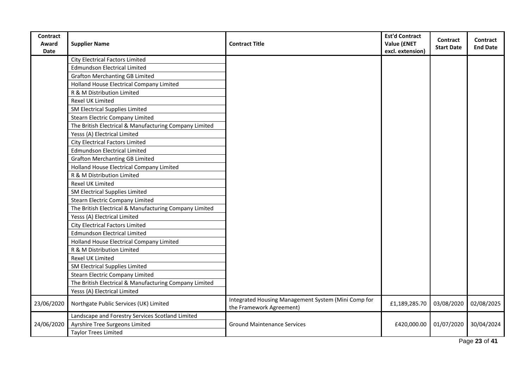| Contract             |                                                        |                                                                                 | <b>Est'd Contract</b>           | Contract          | Contract        |
|----------------------|--------------------------------------------------------|---------------------------------------------------------------------------------|---------------------------------|-------------------|-----------------|
| Award<br><b>Date</b> | <b>Supplier Name</b>                                   | <b>Contract Title</b>                                                           | Value (£NET<br>excl. extension) | <b>Start Date</b> | <b>End Date</b> |
|                      | <b>City Electrical Factors Limited</b>                 |                                                                                 |                                 |                   |                 |
|                      | <b>Edmundson Electrical Limited</b>                    |                                                                                 |                                 |                   |                 |
|                      | <b>Grafton Merchanting GB Limited</b>                  |                                                                                 |                                 |                   |                 |
|                      | Holland House Electrical Company Limited               |                                                                                 |                                 |                   |                 |
|                      | R & M Distribution Limited                             |                                                                                 |                                 |                   |                 |
|                      | Rexel UK Limited                                       |                                                                                 |                                 |                   |                 |
|                      | SM Electrical Supplies Limited                         |                                                                                 |                                 |                   |                 |
|                      | <b>Stearn Electric Company Limited</b>                 |                                                                                 |                                 |                   |                 |
|                      | The British Electrical & Manufacturing Company Limited |                                                                                 |                                 |                   |                 |
|                      | Yesss (A) Electrical Limited                           |                                                                                 |                                 |                   |                 |
|                      | <b>City Electrical Factors Limited</b>                 |                                                                                 |                                 |                   |                 |
|                      | <b>Edmundson Electrical Limited</b>                    |                                                                                 |                                 |                   |                 |
|                      | <b>Grafton Merchanting GB Limited</b>                  |                                                                                 |                                 |                   |                 |
|                      | Holland House Electrical Company Limited               |                                                                                 |                                 |                   |                 |
|                      | R & M Distribution Limited                             |                                                                                 |                                 |                   |                 |
|                      | Rexel UK Limited                                       |                                                                                 |                                 |                   |                 |
|                      | SM Electrical Supplies Limited                         |                                                                                 |                                 |                   |                 |
|                      | <b>Stearn Electric Company Limited</b>                 |                                                                                 |                                 |                   |                 |
|                      | The British Electrical & Manufacturing Company Limited |                                                                                 |                                 |                   |                 |
|                      | Yesss (A) Electrical Limited                           |                                                                                 |                                 |                   |                 |
|                      | <b>City Electrical Factors Limited</b>                 |                                                                                 |                                 |                   |                 |
|                      | <b>Edmundson Electrical Limited</b>                    |                                                                                 |                                 |                   |                 |
|                      | Holland House Electrical Company Limited               |                                                                                 |                                 |                   |                 |
|                      | R & M Distribution Limited                             |                                                                                 |                                 |                   |                 |
|                      | Rexel UK Limited                                       |                                                                                 |                                 |                   |                 |
|                      | SM Electrical Supplies Limited                         |                                                                                 |                                 |                   |                 |
|                      | <b>Stearn Electric Company Limited</b>                 |                                                                                 |                                 |                   |                 |
|                      | The British Electrical & Manufacturing Company Limited |                                                                                 |                                 |                   |                 |
|                      | Yesss (A) Electrical Limited                           |                                                                                 |                                 |                   |                 |
| 23/06/2020           | Northgate Public Services (UK) Limited                 | Integrated Housing Management System (Mini Comp for<br>the Framework Agreement) | £1,189,285.70                   | 03/08/2020        | 02/08/2025      |
|                      | Landscape and Forestry Services Scotland Limited       |                                                                                 |                                 |                   |                 |
| 24/06/2020           | Ayrshire Tree Surgeons Limited                         | <b>Ground Maintenance Services</b>                                              | £420,000.00                     | 01/07/2020        | 30/04/2024      |
|                      | <b>Taylor Trees Limited</b>                            |                                                                                 |                                 |                   |                 |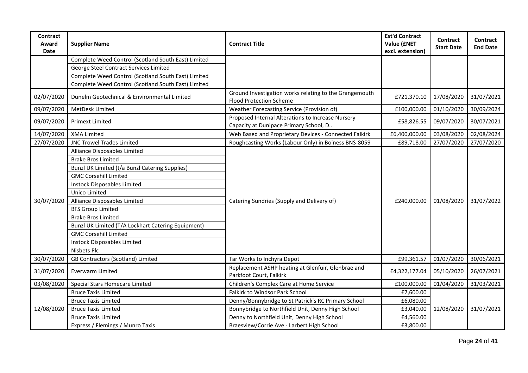| <b>Contract</b><br>Award<br><b>Date</b> | <b>Supplier Name</b>                                | <b>Contract Title</b>                                                                       | <b>Est'd Contract</b><br>Value (£NET<br>excl. extension) | Contract<br><b>Start Date</b> | <b>Contract</b><br><b>End Date</b> |
|-----------------------------------------|-----------------------------------------------------|---------------------------------------------------------------------------------------------|----------------------------------------------------------|-------------------------------|------------------------------------|
|                                         | Complete Weed Control (Scotland South East) Limited |                                                                                             |                                                          |                               |                                    |
|                                         | George Steel Contract Services Limited              |                                                                                             |                                                          |                               |                                    |
|                                         | Complete Weed Control (Scotland South East) Limited |                                                                                             |                                                          |                               |                                    |
|                                         | Complete Weed Control (Scotland South East) Limited |                                                                                             |                                                          |                               |                                    |
| 02/07/2020                              | Dunelm Geotechnical & Environmental Limited         | Ground Investigation works relating to the Grangemouth<br><b>Flood Protection Scheme</b>    | £721,370.10                                              | 17/08/2020                    | 31/07/2021                         |
| 09/07/2020                              | MetDesk Limited                                     | Weather Forecasting Service (Provision of)                                                  | £100,000.00                                              | 01/10/2020                    | 30/09/2024                         |
| 09/07/2020                              | <b>Primext Limited</b>                              | Proposed Internal Alterations to Increase Nursery<br>Capacity at Dunipace Primary School, D | £58,826.55                                               | 09/07/2020                    | 30/07/2021                         |
| 14/07/2020                              | <b>XMA Limited</b>                                  | Web Based and Proprietary Devices - Connected Falkirk                                       | £6,400,000.00                                            | 03/08/2020                    | 02/08/2024                         |
| 27/07/2020                              | <b>JNC Trowel Trades Limited</b>                    | Roughcasting Works (Labour Only) in Bo'ness BNS-8059                                        | £89,718.00                                               | 27/07/2020                    | 27/07/2020                         |
|                                         | Alliance Disposables Limited                        |                                                                                             |                                                          |                               |                                    |
|                                         | <b>Brake Bros Limited</b>                           |                                                                                             |                                                          | 01/08/2020                    | 31/07/2022                         |
|                                         | Bunzl UK Limited (t/a Bunzl Catering Supplies)      |                                                                                             |                                                          |                               |                                    |
|                                         | <b>GMC Corsehill Limited</b>                        |                                                                                             |                                                          |                               |                                    |
|                                         | <b>Instock Disposables Limited</b>                  |                                                                                             |                                                          |                               |                                    |
|                                         | Unico Limited                                       |                                                                                             | £240,000.00                                              |                               |                                    |
| 30/07/2020                              | Alliance Disposables Limited                        | Catering Sundries (Supply and Delivery of)                                                  |                                                          |                               |                                    |
|                                         | <b>BFS Group Limited</b>                            |                                                                                             |                                                          |                               |                                    |
|                                         | <b>Brake Bros Limited</b>                           |                                                                                             |                                                          |                               |                                    |
|                                         | Bunzl UK Limited (T/A Lockhart Catering Equipment)  |                                                                                             |                                                          |                               |                                    |
|                                         | <b>GMC Corsehill Limited</b>                        |                                                                                             |                                                          |                               |                                    |
|                                         | Instock Disposables Limited                         |                                                                                             |                                                          |                               |                                    |
|                                         | Nisbets Plc                                         |                                                                                             |                                                          |                               |                                    |
| 30/07/2020                              | GB Contractors (Scotland) Limited                   | Tar Works to Inchyra Depot                                                                  | £99,361.57                                               | 01/07/2020                    | 30/06/2021                         |
| 31/07/2020                              | Everwarm Limited                                    | Replacement ASHP heating at Glenfuir, Glenbrae and<br>Parkfoot Court, Falkirk               | £4,322,177.04                                            | 05/10/2020                    | 26/07/2021                         |
| 03/08/2020                              | Special Stars Homecare Limited                      | Children's Complex Care at Home Service                                                     | £100,000.00                                              | 01/04/2020                    | 31/03/2021                         |
|                                         | <b>Bruce Taxis Limited</b>                          | Falkirk to Windsor Park School                                                              | £7,600.00                                                |                               |                                    |
|                                         | <b>Bruce Taxis Limited</b>                          | Denny/Bonnybridge to St Patrick's RC Primary School                                         | £6,080.00                                                | 12/08/2020                    | 31/07/2021                         |
| 12/08/2020                              | <b>Bruce Taxis Limited</b>                          | Bonnybridge to Northfield Unit, Denny High School                                           | £3,040.00                                                |                               |                                    |
|                                         | <b>Bruce Taxis Limited</b>                          | Denny to Northfield Unit, Denny High School                                                 | £4,560.00                                                |                               |                                    |
|                                         | Express / Flemings / Munro Taxis                    | Braesview/Corrie Ave - Larbert High School                                                  | £3,800.00                                                |                               |                                    |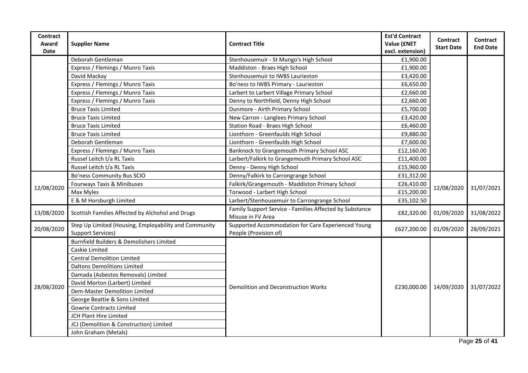| <b>Contract</b><br>Award<br><b>Date</b> | <b>Supplier Name</b>                                                              | <b>Contract Title</b>                                                        | <b>Est'd Contract</b><br>Value (£NET<br>excl. extension) | <b>Contract</b><br><b>Start Date</b> | Contract<br><b>End Date</b> |
|-----------------------------------------|-----------------------------------------------------------------------------------|------------------------------------------------------------------------------|----------------------------------------------------------|--------------------------------------|-----------------------------|
|                                         | Deborah Gentleman                                                                 | Stenhousemuir - St Mungo's High School                                       | £1,900.00                                                |                                      |                             |
|                                         | Express / Flemings / Munro Taxis                                                  | Maddiston - Braes High School                                                | £1,900.00                                                |                                      |                             |
|                                         | David Mackay                                                                      | Stenhousemuir to IWBS Laurieston                                             | £3,420.00                                                |                                      |                             |
|                                         | Express / Flemings / Munro Taxis                                                  | Bo'ness to IWBS Primary - Laurieston                                         | £6,650.00                                                |                                      |                             |
|                                         | Express / Flemings / Munro Taxis                                                  | Larbert to Larbert Village Primary School                                    | £2,660.00                                                |                                      |                             |
|                                         | Express / Flemings / Munro Taxis                                                  | Denny to Northfield, Denny High School                                       | £2,660.00                                                |                                      |                             |
|                                         | <b>Bruce Taxis Limited</b>                                                        | Dunmore - Airth Primary School                                               | £5,700.00                                                |                                      |                             |
|                                         | <b>Bruce Taxis Limited</b>                                                        | New Carron - Langlees Primary School                                         | £3,420.00                                                |                                      |                             |
|                                         | <b>Bruce Taxis Limited</b>                                                        | Station Road - Braes High School                                             | £6,460.00                                                |                                      |                             |
|                                         | <b>Bruce Taxis Limited</b>                                                        | Lionthorn - Greenfaulds High School                                          | £9,880.00                                                |                                      |                             |
|                                         | Deborah Gentleman                                                                 | Lionthorn - Greenfaulds High School                                          | £7,600.00                                                |                                      |                             |
|                                         | Express / Flemings / Munro Taxis                                                  | Banknock to Grangemouth Primary School ASC                                   | £12,160.00                                               |                                      |                             |
|                                         | Russel Leitch t/a RL Taxis                                                        | Larbert/Falkirk to Grangemouth Primary School ASC                            | £11,400.00                                               |                                      |                             |
|                                         | Russel Leitch t/a RL Taxis                                                        | Denny - Denny High School                                                    | £15,960.00                                               |                                      |                             |
|                                         | Bo'ness Community Bus SCIO                                                        | Denny/Falkirk to Carrongrange School                                         | £31,312.00                                               |                                      |                             |
| 12/08/2020                              | Fourways Taxis & Minibuses                                                        | Falkirk/Grangemouth - Maddiston Primary School                               | £26,410.00                                               | 12/08/2020                           | 31/07/2021                  |
|                                         | Max Myles                                                                         | Torwood - Larbert High School                                                | £15,200.00                                               |                                      |                             |
|                                         | E & M Horsburgh Limited                                                           | Larbert/Stenhousemuir to Carrongrange School                                 | £35,102.50                                               |                                      |                             |
| 13/08/2020                              | Scottish Families Affected by Alchohol and Drugs                                  | Family Support Service - Families Affected by Substance<br>Misuse in FV Area | £82,320.00                                               | 01/09/2020                           | 31/08/2022                  |
| 20/08/2020                              | Step Up Limited (Housing, Employability and Community<br><b>Support Services)</b> | Supported Accommodation for Care Experienced Young<br>People (Provision of)  | £627,200.00                                              | 01/09/2020                           | 28/09/2021                  |
|                                         | Burnfield Builders & Demolishers Limited                                          |                                                                              |                                                          |                                      |                             |
|                                         | Caskie Limited                                                                    |                                                                              |                                                          |                                      |                             |
|                                         | <b>Central Demolition Limited</b>                                                 |                                                                              |                                                          |                                      |                             |
|                                         | <b>Daltons Demolitions Limited</b>                                                |                                                                              |                                                          |                                      |                             |
|                                         | Damada (Asbestos Removals) Limited                                                |                                                                              |                                                          |                                      |                             |
|                                         | David Morton (Larbert) Limited                                                    | Demolition and Deconstruction Works                                          |                                                          | 14/09/2020                           | 31/07/2022                  |
| 28/08/2020                              | Dem-Master Demolition Limited                                                     |                                                                              | £230,000.00                                              |                                      |                             |
|                                         | George Beattie & Sons Limited                                                     |                                                                              |                                                          |                                      |                             |
|                                         | <b>Gowrie Contracts Limited</b>                                                   |                                                                              |                                                          |                                      |                             |
|                                         | JCH Plant Hire Limited                                                            |                                                                              |                                                          |                                      |                             |
|                                         | JCJ (Demolition & Construction) Limited                                           |                                                                              |                                                          |                                      |                             |
|                                         | John Graham (Metals)                                                              |                                                                              |                                                          |                                      |                             |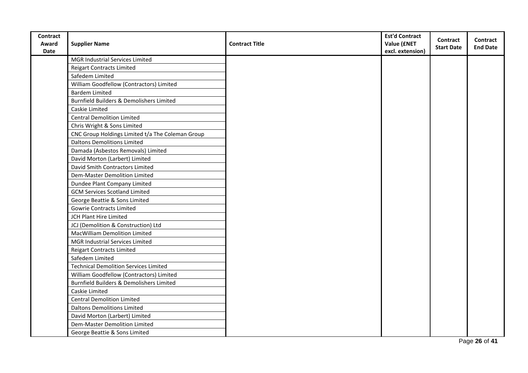| Contract    |                                                  |                       | <b>Est'd Contract</b> | <b>Contract</b>   | Contract        |
|-------------|--------------------------------------------------|-----------------------|-----------------------|-------------------|-----------------|
| Award       | <b>Supplier Name</b>                             | <b>Contract Title</b> | Value (£NET           | <b>Start Date</b> | <b>End Date</b> |
| <b>Date</b> |                                                  |                       | excl. extension)      |                   |                 |
|             | MGR Industrial Services Limited                  |                       |                       |                   |                 |
|             | <b>Reigart Contracts Limited</b>                 |                       |                       |                   |                 |
|             | Safedem Limited                                  |                       |                       |                   |                 |
|             | William Goodfellow (Contractors) Limited         |                       |                       |                   |                 |
|             | <b>Bardem Limited</b>                            |                       |                       |                   |                 |
|             | Burnfield Builders & Demolishers Limited         |                       |                       |                   |                 |
|             | Caskie Limited                                   |                       |                       |                   |                 |
|             | <b>Central Demolition Limited</b>                |                       |                       |                   |                 |
|             | Chris Wright & Sons Limited                      |                       |                       |                   |                 |
|             | CNC Group Holdings Limited t/a The Coleman Group |                       |                       |                   |                 |
|             | <b>Daltons Demolitions Limited</b>               |                       |                       |                   |                 |
|             | Damada (Asbestos Removals) Limited               |                       |                       |                   |                 |
|             | David Morton (Larbert) Limited                   |                       |                       |                   |                 |
|             | David Smith Contractors Limited                  |                       |                       |                   |                 |
|             | <b>Dem-Master Demolition Limited</b>             |                       |                       |                   |                 |
|             | Dundee Plant Company Limited                     |                       |                       |                   |                 |
|             | <b>GCM Services Scotland Limited</b>             |                       |                       |                   |                 |
|             | George Beattie & Sons Limited                    |                       |                       |                   |                 |
|             | <b>Gowrie Contracts Limited</b>                  |                       |                       |                   |                 |
|             | JCH Plant Hire Limited                           |                       |                       |                   |                 |
|             | JCJ (Demolition & Construction) Ltd              |                       |                       |                   |                 |
|             | MacWilliam Demolition Limited                    |                       |                       |                   |                 |
|             | MGR Industrial Services Limited                  |                       |                       |                   |                 |
|             | <b>Reigart Contracts Limited</b>                 |                       |                       |                   |                 |
|             | Safedem Limited                                  |                       |                       |                   |                 |
|             | <b>Technical Demolition Services Limited</b>     |                       |                       |                   |                 |
|             | William Goodfellow (Contractors) Limited         |                       |                       |                   |                 |
|             | Burnfield Builders & Demolishers Limited         |                       |                       |                   |                 |
|             | Caskie Limited                                   |                       |                       |                   |                 |
|             | <b>Central Demolition Limited</b>                |                       |                       |                   |                 |
|             | <b>Daltons Demolitions Limited</b>               |                       |                       |                   |                 |
|             | David Morton (Larbert) Limited                   |                       |                       |                   |                 |
|             | Dem-Master Demolition Limited                    |                       |                       |                   |                 |
|             | George Beattie & Sons Limited                    |                       |                       |                   |                 |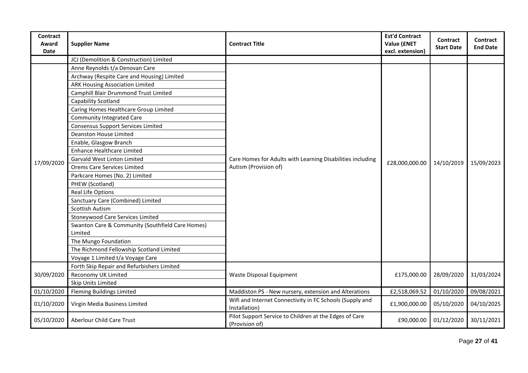| <b>Contract</b><br>Award<br>Date | <b>Supplier Name</b>                             | <b>Contract Title</b>                                                     | <b>Est'd Contract</b><br>Value (£NET<br>excl. extension) | <b>Contract</b><br><b>Start Date</b> | <b>Contract</b><br><b>End Date</b> |
|----------------------------------|--------------------------------------------------|---------------------------------------------------------------------------|----------------------------------------------------------|--------------------------------------|------------------------------------|
|                                  | JCJ (Demolition & Construction) Limited          |                                                                           |                                                          |                                      |                                    |
|                                  | Anne Reynolds t/a Denovan Care                   |                                                                           |                                                          |                                      |                                    |
|                                  | Archway (Respite Care and Housing) Limited       |                                                                           |                                                          |                                      |                                    |
|                                  | <b>ARK Housing Association Limited</b>           |                                                                           |                                                          |                                      |                                    |
|                                  | Camphill Blair Drummond Trust Limited            |                                                                           |                                                          |                                      |                                    |
|                                  | Capability Scotland                              |                                                                           |                                                          |                                      |                                    |
|                                  | Caring Homes Healthcare Group Limited            |                                                                           |                                                          |                                      |                                    |
|                                  | <b>Community Integrated Care</b>                 |                                                                           |                                                          |                                      |                                    |
|                                  | Consensus Support Services Limited               |                                                                           |                                                          |                                      |                                    |
|                                  | Deanston House Limited                           |                                                                           |                                                          |                                      |                                    |
| 17/09/2020                       | Enable, Glasgow Branch                           |                                                                           |                                                          |                                      |                                    |
|                                  | <b>Enhance Healthcare Limited</b>                |                                                                           |                                                          |                                      |                                    |
|                                  | Garvald West Linton Limited                      | Care Homes for Adults with Learning Disabilities including                | £28,000,000.00                                           | 14/10/2019                           | 15/09/2023                         |
|                                  | Orems Care Services Limited                      | Autism (Provision of)                                                     |                                                          |                                      |                                    |
|                                  | Parkcare Homes (No. 2) Limited                   |                                                                           |                                                          |                                      |                                    |
|                                  | PHEW (Scotland)                                  |                                                                           |                                                          |                                      |                                    |
|                                  | Real Life Options                                |                                                                           |                                                          |                                      |                                    |
|                                  | Sanctuary Care (Combined) Limited                |                                                                           |                                                          |                                      |                                    |
|                                  | Scottish Autism                                  |                                                                           |                                                          |                                      |                                    |
|                                  | Stoneywood Care Services Limited                 |                                                                           |                                                          |                                      |                                    |
|                                  | Swanton Care & Community (Southfield Care Homes) |                                                                           |                                                          |                                      |                                    |
|                                  | Limited                                          |                                                                           |                                                          |                                      |                                    |
|                                  | The Mungo Foundation                             |                                                                           |                                                          |                                      |                                    |
|                                  | The Richmond Fellowship Scotland Limited         |                                                                           |                                                          |                                      |                                    |
|                                  | Voyage 1 Limited t/a Voyage Care                 |                                                                           |                                                          |                                      |                                    |
|                                  | Forth Skip Repair and Refurbishers Limited       |                                                                           |                                                          |                                      |                                    |
| 30/09/2020                       | Reconomy UK Limited                              | Waste Disposal Equipment                                                  | £175,000.00                                              | 28/09/2020                           | 31/03/2024                         |
|                                  | Skip Units Limited                               |                                                                           |                                                          |                                      |                                    |
| 01/10/2020                       | <b>Fleming Buildings Limited</b>                 | Maddiston PS - New nursery, extension and Alterations                     | £2,518,069.52                                            | 01/10/2020                           | 09/08/2021                         |
| 01/10/2020                       | Virgin Media Business Limited                    | Wifi and Internet Connectivity in FC Schools (Supply and<br>Installation) | £1,900,000.00                                            | 05/10/2020                           | 04/10/2025                         |
| 05/10/2020                       | Aberlour Child Care Trust                        | Pilot Support Service to Children at the Edges of Care<br>(Provision of)  | £90,000.00                                               | 01/12/2020                           | 30/11/2021                         |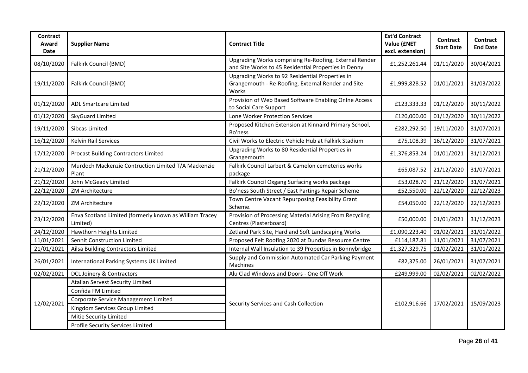| <b>Contract</b><br>Award<br>Date | <b>Supplier Name</b>                                                | <b>Contract Title</b>                                                                                          | <b>Est'd Contract</b><br>Value (£NET<br>excl. extension) | <b>Contract</b><br><b>Start Date</b> | <b>Contract</b><br><b>End Date</b> |
|----------------------------------|---------------------------------------------------------------------|----------------------------------------------------------------------------------------------------------------|----------------------------------------------------------|--------------------------------------|------------------------------------|
| 08/10/2020                       | Falkirk Council (BMD)                                               | Upgrading Works comprising Re-Roofing, External Render<br>and Site Works to 45 Residential Properties in Denny | £1,252,261.44                                            | 01/11/2020                           | 30/04/2021                         |
| 19/11/2020                       | Falkirk Council (BMD)                                               | Upgrading Works to 92 Residential Properties in<br>Grangemouth - Re-Roofing, External Render and Site<br>Works | £1,999,828.52                                            | 01/01/2021                           | 31/03/2022                         |
| 01/12/2020                       | <b>ADL Smartcare Limited</b>                                        | Provision of Web Based Software Enabling Onlne Access<br>to Social Care Support                                | £123,333.33                                              | 01/12/2020                           | 30/11/2022                         |
| 01/12/2020                       | SkyGuard Limited                                                    | Lone Worker Protection Services                                                                                | £120,000.00                                              | 01/12/2020                           | 30/11/2022                         |
| 19/11/2020                       | Sibcas Limited                                                      | Proposed Kitchen Extension at Kinnaird Primary School,<br>Bo'ness                                              | £282,292.50                                              | 19/11/2020                           | 31/07/2021                         |
| 16/12/2020                       | Kelvin Rail Services                                                | Civil Works to Electric Vehicle Hub at Falkirk Stadium                                                         | £75,108.39                                               | 16/12/2020                           | 31/07/2021                         |
| 17/12/2020                       | Procast Building Contractors Limited                                | Upgrading Works to 80 Residential Properties in<br>Grangemouth                                                 | £1,376,853.24                                            | 01/01/2021                           | 31/12/2021                         |
| 21/12/2020                       | Murdoch Mackenzie Contruction Limited T/A Mackenzie<br>Plant        | Falkirk Council Larbert & Camelon cemeteries works<br>package                                                  | £65,087.52                                               | 21/12/2020                           | 31/07/2021                         |
| 21/12/2020                       | John McGeady Limited                                                | Falkirk Council Oxgang Surfacing works package                                                                 | £53,028.70                                               | 21/12/2020                           | 31/07/2021                         |
| 22/12/2020                       | <b>ZM Architecture</b>                                              | Bo'ness South Street / East Partings Repair Scheme                                                             | £52,550.00                                               | 22/12/2020                           | 22/12/2023                         |
| 22/12/2020                       | ZM Architecture                                                     | Town Centre Vacant Repurposing Feasibility Grant<br>Scheme.                                                    | £54,050.00                                               | 22/12/2020                           | 22/12/2023                         |
| 23/12/2020                       | Enva Scotland Limited (formerly known as William Tracey<br>Limited) | Provision of Processing Material Arising From Recycling<br>Centres (Plasterboard)                              | £50,000.00                                               | 01/01/2021                           | 31/12/2023                         |
| 24/12/2020                       | Hawthorn Heights Limited                                            | Zetland Park Site, Hard and Soft Landscaping Works                                                             | £1,090,223.40                                            | 01/02/2021                           | 31/01/2022                         |
| 11/01/2021                       | Sennit Construction Limited                                         | Proposed Felt Roofing 2020 at Dundas Resource Centre                                                           | £114,187.81                                              | 11/01/2021                           | 31/07/2021                         |
| 21/01/2021                       | Ailsa Building Contractors Limited                                  | Internal Wall Insulation to 39 Properties in Bonnybridge                                                       | £1,327,329.75                                            | 01/02/2021                           | 31/01/2022                         |
| 26/01/2021                       | International Parking Systems UK Limited                            | Supply and Commission Automated Car Parking Payment<br>Machines                                                | £82,375.00                                               | 26/01/2021                           | 31/07/2021                         |
| 02/02/2021                       | DCL Joinery & Contractors                                           | Alu Clad Windows and Doors - One Off Work                                                                      | £249,999.00                                              | 02/02/2021                           | 02/02/2022                         |
|                                  | Atalian Servest Security Limited                                    |                                                                                                                |                                                          |                                      |                                    |
|                                  | Confida FM Limited                                                  |                                                                                                                |                                                          |                                      |                                    |
| 12/02/2021                       | Corporate Service Management Limited                                | Security Services and Cash Collection                                                                          | £102,916.66                                              | 17/02/2021                           | 15/09/2023                         |
|                                  | Kingdom Services Group Limited                                      |                                                                                                                |                                                          |                                      |                                    |
|                                  | Mitie Security Limited                                              |                                                                                                                |                                                          |                                      |                                    |
|                                  | Profile Security Services Limited                                   |                                                                                                                |                                                          |                                      |                                    |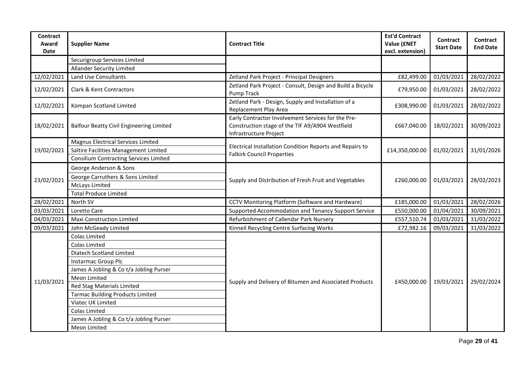| <b>Contract</b><br>Award<br><b>Date</b> | <b>Supplier Name</b>                            | <b>Contract Title</b>                                                                                                           | <b>Est'd Contract</b><br>Value (£NET<br>excl. extension) | Contract<br><b>Start Date</b> | Contract<br><b>End Date</b> |
|-----------------------------------------|-------------------------------------------------|---------------------------------------------------------------------------------------------------------------------------------|----------------------------------------------------------|-------------------------------|-----------------------------|
|                                         | Securigroup Services Limited                    |                                                                                                                                 |                                                          |                               |                             |
|                                         | <b>Allander Security Limited</b>                |                                                                                                                                 |                                                          |                               |                             |
| 12/02/2021                              | Land Use Consultants                            | Zetland Park Project - Principal Designers                                                                                      | £82,499.00                                               | 01/03/2021                    | 28/02/2022                  |
| 12/02/2021                              | Clark & Kent Contractors                        | Zetland Park Project - Consult, Design and Build a Bicycle<br>Pump Track                                                        | £79,950.00                                               | 01/03/2021                    | 28/02/2022                  |
| 12/02/2021                              | Kompan Scotland Limited                         | Zetland Park - Design, Supply and Installation of a<br>Replacement Play Area                                                    | £308,990.00                                              | 01/03/2021                    | 28/02/2022                  |
| 18/02/2021                              | <b>Balfour Beatty Civil Engineering Limited</b> | Early Contractor Involvement Services for the Pre-<br>Construction stage of the TIF A9/A904 Westfield<br>Infrastructure Project | £667,040.00                                              | 18/02/2021                    | 30/09/2022                  |
|                                         | <b>Magnus Electrical Services Limited</b>       |                                                                                                                                 |                                                          | 01/02/2021                    |                             |
| 19/02/2021                              | Saltire Facilities Management Limited           | Electrical Installation Condition Reports and Repairs to<br><b>Falkirk Council Properties</b>                                   | £14,350,000.00                                           |                               | 31/01/2026                  |
|                                         | <b>Consilium Contracting Services Limited</b>   |                                                                                                                                 |                                                          |                               |                             |
|                                         | George Anderson & Sons                          |                                                                                                                                 |                                                          |                               |                             |
| 23/02/2021                              | George Carruthers & Sons Limited                | Supply and Distribution of Fresh Fruit and Vegetables                                                                           | £260,000.00                                              | 01/03/2021                    | 28/02/2023                  |
|                                         | <b>McLays Limited</b>                           |                                                                                                                                 |                                                          |                               |                             |
|                                         | <b>Total Produce Limited</b>                    |                                                                                                                                 |                                                          |                               |                             |
| 28/02/2021                              | North SV                                        | CCTV Monitoring Platform (Software and Hardware)                                                                                | £185,000.00                                              | 01/03/2021                    | 28/02/2026                  |
| 03/03/2021                              | Loretto Care                                    | Supported Accommodation and Tenancy Support Service                                                                             | £550,000.00                                              | 01/04/2021                    | 30/09/2021                  |
| 04/03/2021                              | Maxi Construction Limited                       | Refurbishment of Callendar Park Nursery                                                                                         | £557,510.74                                              | 01/03/2021                    | 31/03/2022                  |
| 09/03/2021                              | John McGeady Limited                            | Kinneil Recycling Centre Surfacing Works                                                                                        | £72,982.16                                               | 09/03/2021                    | 31/03/2022                  |
|                                         | Colas Limited                                   |                                                                                                                                 |                                                          |                               |                             |
|                                         | Colas Limited                                   |                                                                                                                                 |                                                          |                               |                             |
|                                         | Diatech Scotland Limited                        |                                                                                                                                 |                                                          |                               |                             |
|                                         | Instarmac Group Plc                             |                                                                                                                                 |                                                          |                               |                             |
|                                         | James A Jobling & Co t/a Jobling Purser         |                                                                                                                                 |                                                          |                               |                             |
| 11/03/2021                              | Meon Limited                                    | Supply and Delivery of Bitumen and Associated Products                                                                          | £450,000.00                                              | 19/03/2021                    | 29/02/2024                  |
|                                         | <b>Red Stag Materials Limited</b>               |                                                                                                                                 |                                                          |                               |                             |
|                                         | <b>Tarmac Building Products Limited</b>         |                                                                                                                                 |                                                          |                               |                             |
|                                         | Viatec UK Limited                               |                                                                                                                                 |                                                          |                               |                             |
|                                         | Colas Limited                                   |                                                                                                                                 |                                                          |                               |                             |
|                                         | James A Jobling & Co t/a Jobling Purser         |                                                                                                                                 |                                                          |                               |                             |
|                                         | Meon Limited                                    |                                                                                                                                 |                                                          |                               |                             |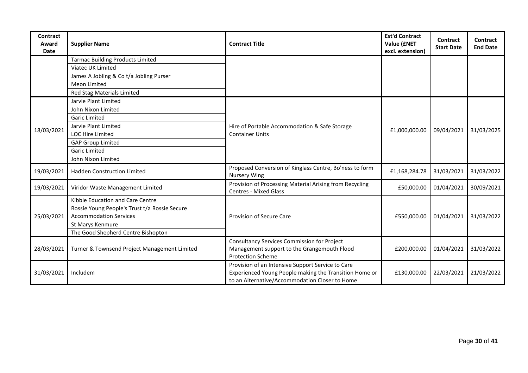| Contract<br>Award<br><b>Date</b> | <b>Supplier Name</b>                          | <b>Contract Title</b>                                                                                                                                         | <b>Est'd Contract</b><br><b>Value (£NET</b><br>excl. extension) | <b>Contract</b><br><b>Start Date</b> | Contract<br><b>End Date</b> |
|----------------------------------|-----------------------------------------------|---------------------------------------------------------------------------------------------------------------------------------------------------------------|-----------------------------------------------------------------|--------------------------------------|-----------------------------|
|                                  | <b>Tarmac Building Products Limited</b>       |                                                                                                                                                               |                                                                 |                                      |                             |
|                                  | Viatec UK Limited                             |                                                                                                                                                               |                                                                 |                                      |                             |
|                                  | James A Jobling & Co t/a Jobling Purser       |                                                                                                                                                               |                                                                 |                                      |                             |
|                                  | Meon Limited                                  |                                                                                                                                                               |                                                                 |                                      |                             |
|                                  | Red Stag Materials Limited                    |                                                                                                                                                               |                                                                 |                                      |                             |
|                                  | Jarvie Plant Limited                          |                                                                                                                                                               |                                                                 |                                      |                             |
|                                  | John Nixon Limited                            |                                                                                                                                                               |                                                                 |                                      |                             |
|                                  | <b>Garic Limited</b>                          |                                                                                                                                                               |                                                                 | 09/04/2021                           |                             |
| 18/03/2021                       | Jarvie Plant Limited                          | Hire of Portable Accommodation & Safe Storage                                                                                                                 | £1,000,000.00                                                   |                                      | 31/03/2025                  |
|                                  | <b>LOC Hire Limited</b>                       | <b>Container Units</b>                                                                                                                                        |                                                                 |                                      |                             |
|                                  | <b>GAP Group Limited</b>                      |                                                                                                                                                               |                                                                 |                                      |                             |
|                                  | <b>Garic Limited</b>                          |                                                                                                                                                               |                                                                 |                                      |                             |
|                                  | John Nixon Limited                            |                                                                                                                                                               |                                                                 |                                      |                             |
| 19/03/2021                       | <b>Hadden Construction Limited</b>            | Proposed Conversion of Kinglass Centre, Bo'ness to form<br><b>Nursery Wing</b>                                                                                | £1,168,284.78                                                   | 31/03/2021                           | 31/03/2022                  |
| 19/03/2021                       | Viridor Waste Management Limited              | Provision of Processing Material Arising from Recycling<br><b>Centres - Mixed Glass</b>                                                                       | £50,000.00                                                      | 01/04/2021                           | 30/09/2021                  |
|                                  | Kibble Education and Care Centre              |                                                                                                                                                               |                                                                 |                                      |                             |
|                                  | Rossie Young People's Trust t/a Rossie Secure |                                                                                                                                                               |                                                                 |                                      |                             |
| 25/03/2021                       | <b>Accommodation Services</b>                 | Provision of Secure Care                                                                                                                                      | £550,000.00                                                     | 01/04/2021                           | 31/03/2022                  |
|                                  | St Marys Kenmure                              |                                                                                                                                                               |                                                                 |                                      |                             |
|                                  | The Good Shepherd Centre Bishopton            |                                                                                                                                                               |                                                                 |                                      |                             |
|                                  |                                               | <b>Consultancy Services Commission for Project</b>                                                                                                            |                                                                 |                                      |                             |
| 28/03/2021                       | Turner & Townsend Project Management Limited  | Management support to the Grangemouth Flood<br><b>Protection Scheme</b>                                                                                       | £200,000.00                                                     | 01/04/2021                           | 31/03/2022                  |
| 31/03/2021                       | Includem                                      | Provision of an Intensive Support Service to Care<br>Experienced Young People making the Transition Home or<br>to an Alternative/Accommodation Closer to Home | £130,000.00                                                     | 22/03/2021                           | 21/03/2022                  |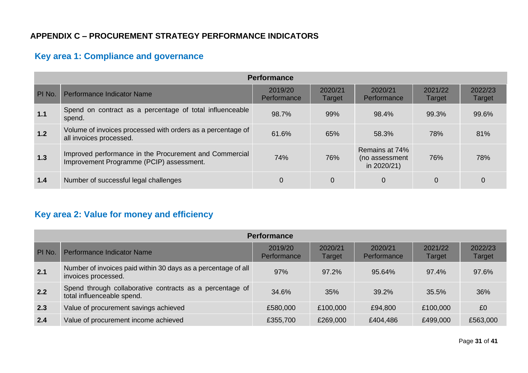## **APPENDIX C – PROCUREMENT STRATEGY PERFORMANCE INDICATORS**

# **Key area 1: Compliance and governance**

|        | <b>Performance</b>                                                                                 |                        |                   |                                                 |                   |                   |  |  |  |  |
|--------|----------------------------------------------------------------------------------------------------|------------------------|-------------------|-------------------------------------------------|-------------------|-------------------|--|--|--|--|
| PI No. | Performance Indicator Name                                                                         | 2019/20<br>Performance | 2020/21<br>Target | 2020/21<br>Performance                          | 2021/22<br>Target | 2022/23<br>Target |  |  |  |  |
| 1.1    | Spend on contract as a percentage of total influenceable<br>spend.                                 | 98.7%                  | 99%               | 98.4%                                           | 99.3%             | 99.6%             |  |  |  |  |
| 1.2    | Volume of invoices processed with orders as a percentage of<br>all invoices processed.             | 61.6%                  | 65%               | 58.3%                                           | 78%               | 81%               |  |  |  |  |
| 1.3    | Improved performance in the Procurement and Commercial<br>Improvement Programme (PCIP) assessment. | 74%                    | 76%               | Remains at 74%<br>(no assessment<br>in 2020/21) | 76%               | 78%               |  |  |  |  |
| 1.4    | Number of successful legal challenges                                                              |                        | $\overline{0}$    | $\Omega$                                        | 0                 |                   |  |  |  |  |

# <span id="page-30-0"></span>**Key area 2: Value for money and efficiency**

| <b>Performance</b> |                                                                                        |                        |                   |                        |                   |                   |  |  |  |
|--------------------|----------------------------------------------------------------------------------------|------------------------|-------------------|------------------------|-------------------|-------------------|--|--|--|
| PI No.             | Performance Indicator Name                                                             | 2019/20<br>Performance | 2020/21<br>Target | 2020/21<br>Performance | 2021/22<br>Target | 2022/23<br>Target |  |  |  |
| 2.1                | Number of invoices paid within 30 days as a percentage of all<br>invoices processed.   | 97%                    | 97.2%             | 95.64%                 | 97.4%             | 97.6%             |  |  |  |
| 2.2                | Spend through collaborative contracts as a percentage of<br>total influenceable spend. | 34.6%                  | 35%               | 39.2%                  | 35.5%             | 36%               |  |  |  |
| 2.3                | Value of procurement savings achieved                                                  | £580,000               | £100,000          | £94,800                | £100,000          | £0                |  |  |  |
| 2.4                | Value of procurement income achieved                                                   | £355,700               | £269,000          | £404,486               | £499,000          | £563,000          |  |  |  |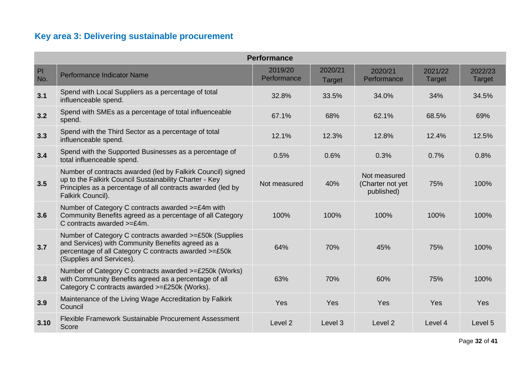# **Key area 3: Delivering sustainable procurement**

| <b>Performance</b> |                                                                                                                                                                                                           |                        |                   |                                                |                   |                   |  |  |
|--------------------|-----------------------------------------------------------------------------------------------------------------------------------------------------------------------------------------------------------|------------------------|-------------------|------------------------------------------------|-------------------|-------------------|--|--|
| PI<br>No.          | Performance Indicator Name                                                                                                                                                                                | 2019/20<br>Performance | 2020/21<br>Target | 2020/21<br>Performance                         | 2021/22<br>Target | 2022/23<br>Target |  |  |
| 3.1                | Spend with Local Suppliers as a percentage of total<br>influenceable spend.                                                                                                                               | 32.8%                  | 33.5%             | 34.0%                                          | 34%               | 34.5%             |  |  |
| 3.2                | Spend with SMEs as a percentage of total influenceable<br>spend.                                                                                                                                          | 67.1%                  | 68%               | 62.1%                                          | 68.5%             | 69%               |  |  |
| 3.3                | Spend with the Third Sector as a percentage of total<br>influenceable spend.                                                                                                                              | 12.1%                  | 12.3%             | 12.8%                                          | 12.4%             | 12.5%             |  |  |
| 3.4                | Spend with the Supported Businesses as a percentage of<br>total influenceable spend.                                                                                                                      | 0.5%                   | 0.6%              | 0.3%                                           | 0.7%              | 0.8%              |  |  |
| 3.5                | Number of contracts awarded (led by Falkirk Council) signed<br>up to the Falkirk Council Sustainability Charter - Key<br>Principles as a percentage of all contracts awarded (led by<br>Falkirk Council). | Not measured           | 40%               | Not measured<br>(Charter not yet<br>published) | 75%               | 100%              |  |  |
| 3.6                | Number of Category C contracts awarded >=£4m with<br>Community Benefits agreed as a percentage of all Category<br>C contracts awarded $>=E4m$ .                                                           | 100%                   | 100%              | 100%                                           | 100%              | 100%              |  |  |
| 3.7                | Number of Category C contracts awarded >=£50k (Supplies<br>and Services) with Community Benefits agreed as a<br>percentage of all Category C contracts awarded >=£50k<br>(Supplies and Services).         | 64%                    | 70%               | 45%                                            | 75%               | 100%              |  |  |
| 3.8                | Number of Category C contracts awarded >=£250k (Works)<br>with Community Benefits agreed as a percentage of all<br>Category C contracts awarded >=£250k (Works).                                          | 63%                    | 70%               | 60%                                            | 75%               | 100%              |  |  |
| 3.9                | Maintenance of the Living Wage Accreditation by Falkirk<br>Council                                                                                                                                        | Yes                    | Yes               | <b>Yes</b>                                     | Yes               | Yes               |  |  |
| 3.10               | Flexible Framework Sustainable Procurement Assessment<br>Score                                                                                                                                            | Level <sub>2</sub>     | Level 3           | Level 2                                        | Level 4           | Level 5           |  |  |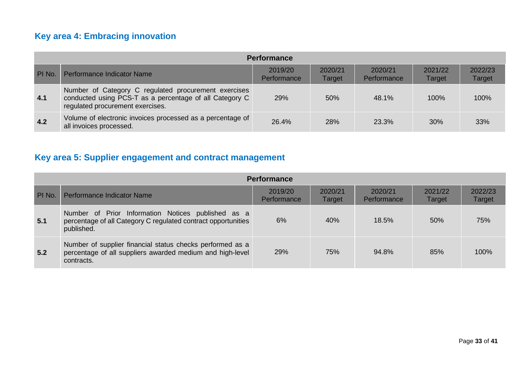# **Key area 4: Embracing innovation**

|        | <b>Performance</b>                                                                                                                                  |                        |                   |                        |                   |                   |  |  |  |  |
|--------|-----------------------------------------------------------------------------------------------------------------------------------------------------|------------------------|-------------------|------------------------|-------------------|-------------------|--|--|--|--|
| PI No. | Performance Indicator Name                                                                                                                          | 2019/20<br>Performance | 2020/21<br>Target | 2020/21<br>Performance | 2021/22<br>Target | 2022/23<br>Target |  |  |  |  |
| 4.1    | Number of Category C regulated procurement exercises<br>conducted using PCS-T as a percentage of all Category C<br>regulated procurement exercises. | <b>29%</b>             | 50%               | 48.1%                  | 100%              | 100%              |  |  |  |  |
| 4.2    | Volume of electronic invoices processed as a percentage of<br>all invoices processed.                                                               | 26.4%                  | 28%               | 23.3%                  | 30%               | 33%               |  |  |  |  |

# **Key area 5: Supplier engagement and contract management**

|        | <b>Performance</b>                                                                                                                   |                        |                   |                        |                   |                   |  |  |  |  |
|--------|--------------------------------------------------------------------------------------------------------------------------------------|------------------------|-------------------|------------------------|-------------------|-------------------|--|--|--|--|
| PI No. | Performance Indicator Name                                                                                                           | 2019/20<br>Performance | 2020/21<br>Target | 2020/21<br>Performance | 2021/22<br>Target | 2022/23<br>Target |  |  |  |  |
| 5.1    | Number of Prior Information Notices published as a<br>percentage of all Category C regulated contract opportunities<br>published.    | 6%                     | 40%               | 18.5%                  | 50%               | 75%               |  |  |  |  |
| 5.2    | Number of supplier financial status checks performed as a<br>percentage of all suppliers awarded medium and high-level<br>contracts. | 29%                    | 75%               | 94.8%                  | 85%               | 100%              |  |  |  |  |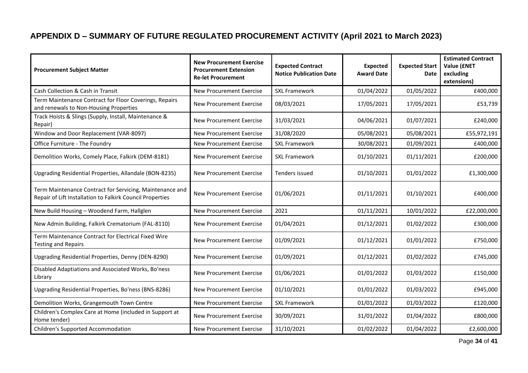# **APPENDIX D – SUMMARY OF FUTURE REGULATED PROCUREMENT ACTIVITY (April 2021 to March 2023)**

<span id="page-33-0"></span>

| <b>Procurement Subject Matter</b>                                                                                     | <b>New Procurement Exercise</b><br><b>Procurement Extension</b><br><b>Re-let Procurement</b> | <b>Expected Contract</b><br><b>Notice Publication Date</b> | <b>Expected</b><br><b>Award Date</b> | <b>Expected Start</b><br>Date | <b>Estimated Contract</b><br>Value (£NET<br>excluding<br>extensions) |
|-----------------------------------------------------------------------------------------------------------------------|----------------------------------------------------------------------------------------------|------------------------------------------------------------|--------------------------------------|-------------------------------|----------------------------------------------------------------------|
| Cash Collection & Cash in Transit                                                                                     | <b>New Procurement Exercise</b>                                                              | <b>SXL Framework</b>                                       | 01/04/2022                           | 01/05/2022                    | £400,000                                                             |
| Term Maintenance Contract for Floor Coverings, Repairs<br>and renewals to Non-Housing Properties                      | <b>New Procurement Exercise</b>                                                              | 08/03/2021                                                 | 17/05/2021                           | 17/05/2021                    | £53,739                                                              |
| Track Hoists & Slings (Supply, Install, Maintenance &<br>Repair)                                                      | <b>New Procurement Exercise</b>                                                              | 31/03/2021                                                 | 04/06/2021                           | 01/07/2021                    | £240,000                                                             |
| Window and Door Replacement (VAR-8097)                                                                                | <b>New Procurement Exercise</b>                                                              | 31/08/2020                                                 | 05/08/2021                           | 05/08/2021                    | £55,972,191                                                          |
| Office Furniture - The Foundry                                                                                        | <b>New Procurement Exercise</b>                                                              | <b>SXL Framework</b>                                       | 30/08/2021                           | 01/09/2021                    | £400,000                                                             |
| Demolition Works, Comely Place, Falkirk (DEM-8181)                                                                    | <b>New Procurement Exercise</b>                                                              | <b>SXL Framework</b>                                       | 01/10/2021                           | 01/11/2021                    | £200,000                                                             |
| Upgrading Residential Properties, Allandale (BON-8235)                                                                | <b>New Procurement Exercise</b>                                                              | Tenders issued                                             | 01/10/2021                           | 01/01/2022                    | £1,300,000                                                           |
| Term Maintenance Contract for Servicing, Maintenance and<br>Repair of Lift Installation to Falkirk Council Properties | <b>New Procurement Exercise</b>                                                              | 01/06/2021                                                 | 01/11/2021                           | 01/10/2021                    | £400,000                                                             |
| New Build Housing - Woodend Farm, Hallglen                                                                            | <b>New Procurement Exercise</b>                                                              | 2021                                                       | 01/11/2021                           | 10/01/2022                    | £22,000,000                                                          |
| New Admin Building, Falkirk Crematorium (FAL-8110)                                                                    | <b>New Procurement Exercise</b>                                                              | 01/04/2021                                                 | 01/12/2021                           | 01/02/2022                    | £300,000                                                             |
| Term Maintenance Contract for Electrical Fixed Wire<br><b>Testing and Repairs</b>                                     | <b>New Procurement Exercise</b>                                                              | 01/09/2021                                                 | 01/12/2021                           | 01/01/2022                    | £750,000                                                             |
| Upgrading Residential Properties, Denny (DEN-8290)                                                                    | <b>New Procurement Exercise</b>                                                              | 01/09/2021                                                 | 01/12/2021                           | 01/02/2022                    | £745,000                                                             |
| Disabled Adaptiations and Associated Works, Bo'ness<br>Library                                                        | <b>New Procurement Exercise</b>                                                              | 01/06/2021                                                 | 01/01/2022                           | 01/03/2022                    | £150,000                                                             |
| Upgrading Residential Properties, Bo'ness (BNS-8286)                                                                  | <b>New Procurement Exercise</b>                                                              | 01/10/2021                                                 | 01/01/2022                           | 01/03/2022                    | £945,000                                                             |
| Demolition Works, Grangemouth Town Centre                                                                             | <b>New Procurement Exercise</b>                                                              | <b>SXL Framework</b>                                       | 01/01/2022                           | 01/03/2022                    | £120,000                                                             |
| Children's Complex Care at Home (included in Support at<br>Home tender)                                               | <b>New Procurement Exercise</b>                                                              | 30/09/2021                                                 | 31/01/2022                           | 01/04/2022                    | £800,000                                                             |
| Children's Supported Accommodation                                                                                    | <b>New Procurement Exercise</b>                                                              | 31/10/2021                                                 | 01/02/2022                           | 01/04/2022                    | £2,600,000                                                           |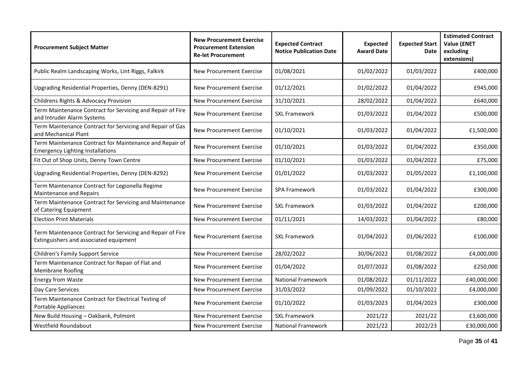| <b>Procurement Subject Matter</b>                                                                    | <b>New Procurement Exercise</b><br><b>Procurement Extension</b><br><b>Re-let Procurement</b> | <b>Expected Contract</b><br><b>Notice Publication Date</b> | <b>Expected</b><br><b>Award Date</b> | <b>Expected Start</b><br>Date | <b>Estimated Contract</b><br><b>Value (£NET</b><br>excluding<br>extensions) |
|------------------------------------------------------------------------------------------------------|----------------------------------------------------------------------------------------------|------------------------------------------------------------|--------------------------------------|-------------------------------|-----------------------------------------------------------------------------|
| Public Realm Landscaping Works, Lint Riggs, Falkirk                                                  | <b>New Procurement Exercise</b>                                                              | 01/08/2021                                                 | 01/02/2022                           | 01/03/2022                    | £400,000                                                                    |
| Upgrading Residential Properties, Denny (DEN-8291)                                                   | <b>New Procurement Exercise</b>                                                              | 01/12/2021                                                 | 01/02/2022                           | 01/04/2022                    | £945,000                                                                    |
| Childrens Rights & Advocacy Provision                                                                | <b>New Procurement Exercise</b>                                                              | 31/10/2021                                                 | 28/02/2022                           | 01/04/2022                    | £640,000                                                                    |
| Term Maintenance Contract for Servicing and Repair of Fire<br>and Intruder Alarm Systems             | <b>New Procurement Exercise</b>                                                              | <b>SXL Framework</b>                                       | 01/03/2022                           | 01/04/2022                    | £500,000                                                                    |
| Term Maintenance Contract for Servicing and Repair of Gas<br>and Mechanical Plant                    | <b>New Procurement Exercise</b>                                                              | 01/10/2021                                                 | 01/03/2022                           | 01/04/2022                    | £1,500,000                                                                  |
| Term Maintenance Contract for Maintenance and Repair of<br><b>Emergency Lighting Installations</b>   | New Procurement Exercise                                                                     | 01/10/2021                                                 | 01/03/2022                           | 01/04/2022                    | £350,000                                                                    |
| Fit Out of Shop Units, Denny Town Centre                                                             | <b>New Procurement Exercise</b>                                                              | 01/10/2021                                                 | 01/03/2022                           | 01/04/2022                    | £75,000                                                                     |
| Upgrading Residential Properties, Denny (DEN-8292)                                                   | <b>New Procurement Exercise</b>                                                              | 01/01/2022                                                 | 01/03/2022                           | 01/05/2022                    | £1,100,000                                                                  |
| Term Maintenance Contract for Legionella Regime<br><b>Maintenance and Repairs</b>                    | <b>New Procurement Exercise</b>                                                              | <b>SPA Framework</b>                                       | 01/03/2022                           | 01/04/2022                    | £300,000                                                                    |
| Term Maintenance Contract for Servicing and Maintenance<br>of Catering Equipment                     | <b>New Procurement Exercise</b>                                                              | <b>SXL Framework</b>                                       | 01/03/2022                           | 01/04/2022                    | £200,000                                                                    |
| <b>Election Print Materials</b>                                                                      | New Procurement Exercise                                                                     | 01/11/2021                                                 | 14/03/2022                           | 01/04/2022                    | £80,000                                                                     |
| Term Maintenance Contract for Servicing and Repair of Fire<br>Extinguishers and associated equipment | <b>New Procurement Exercise</b>                                                              | <b>SXL Framework</b>                                       | 01/04/2022                           | 01/06/2022                    | £100,000                                                                    |
| Children's Family Support Service                                                                    | <b>New Procurement Exercise</b>                                                              | 28/02/2022                                                 | 30/06/2022                           | 01/08/2022                    | £4,000,000                                                                  |
| Term Maintenance Contract for Repair of Flat and<br><b>Membrane Roofing</b>                          | New Procurement Exercise                                                                     | 01/04/2022                                                 | 01/07/2022                           | 01/08/2022                    | £250,000                                                                    |
| Energy from Waste                                                                                    | <b>New Procurement Exercise</b>                                                              | <b>National Framework</b>                                  | 01/08/2022                           | 01/11/2022                    | £40,000,000                                                                 |
| Day Care Services                                                                                    | New Procurement Exercise                                                                     | 31/03/2022                                                 | 01/09/2022                           | 01/10/2022                    | £4,000,000                                                                  |
| Term Maintenance Contract for Electrical Testing of<br>Portable Appliances                           | <b>New Procurement Exercise</b>                                                              | 01/10/2022                                                 | 01/03/2023                           | 01/04/2023                    | £300,000                                                                    |
| New Build Housing - Oakbank, Polmont                                                                 | <b>New Procurement Exercise</b>                                                              | <b>SXL Framework</b>                                       | 2021/22                              | 2021/22                       | £3,600,000                                                                  |
| Westfield Roundabout                                                                                 | New Procurement Exercise                                                                     | <b>National Framework</b>                                  | 2021/22                              | 2022/23                       | £30,000,000                                                                 |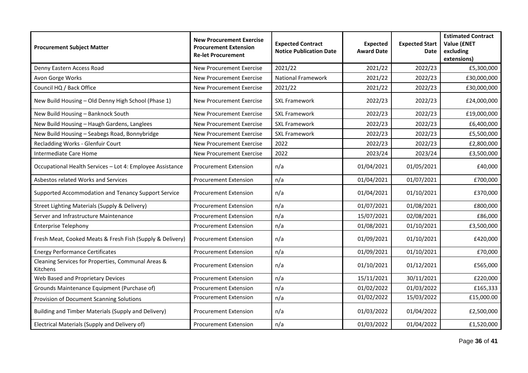| <b>Procurement Subject Matter</b>                              | <b>New Procurement Exercise</b><br><b>Procurement Extension</b><br><b>Re-let Procurement</b> | <b>Expected Contract</b><br><b>Notice Publication Date</b> | <b>Expected</b><br><b>Award Date</b> | <b>Expected Start</b><br>Date | <b>Estimated Contract</b><br><b>Value (£NET</b><br>excluding<br>extensions) |
|----------------------------------------------------------------|----------------------------------------------------------------------------------------------|------------------------------------------------------------|--------------------------------------|-------------------------------|-----------------------------------------------------------------------------|
| Denny Eastern Access Road                                      | <b>New Procurement Exercise</b>                                                              | 2021/22                                                    | 2021/22                              | 2022/23                       | £5,300,000                                                                  |
| Avon Gorge Works                                               | <b>New Procurement Exercise</b>                                                              | <b>National Framework</b>                                  | 2021/22                              | 2022/23                       | £30,000,000                                                                 |
| Council HQ / Back Office                                       | <b>New Procurement Exercise</b>                                                              | 2021/22                                                    | 2021/22                              | 2022/23                       | £30,000,000                                                                 |
| New Build Housing - Old Denny High School (Phase 1)            | <b>New Procurement Exercise</b>                                                              | <b>SXL Framework</b>                                       | 2022/23                              | 2022/23                       | £24,000,000                                                                 |
| New Build Housing - Banknock South                             | <b>New Procurement Exercise</b>                                                              | <b>SXL Framework</b>                                       | 2022/23                              | 2022/23                       | £19,000,000                                                                 |
| New Build Housing - Haugh Gardens, Langlees                    | <b>New Procurement Exercise</b>                                                              | <b>SXL Framework</b>                                       | 2022/23                              | 2022/23                       | £6,400,000                                                                  |
| New Build Housing - Seabegs Road, Bonnybridge                  | <b>New Procurement Exercise</b>                                                              | <b>SXL Framework</b>                                       | 2022/23                              | 2022/23                       | £5,500,000                                                                  |
| Recladding Works - Glenfuir Court                              | <b>New Procurement Exercise</b>                                                              | 2022                                                       | 2022/23                              | 2022/23                       | £2,800,000                                                                  |
| Intermediate Care Home                                         | <b>New Procurement Exercise</b>                                                              | 2022                                                       | 2023/24                              | 2023/24                       | £3,500,000                                                                  |
| Occupational Health Services - Lot 4: Employee Assistance      | <b>Procurement Extension</b>                                                                 | n/a                                                        | 01/04/2021                           | 01/05/2021                    | £40,000                                                                     |
| Asbestos related Works and Services                            | <b>Procurement Extension</b>                                                                 | n/a                                                        | 01/04/2021                           | 01/07/2021                    | £700,000                                                                    |
| Supported Accommodation and Tenancy Support Service            | <b>Procurement Extension</b>                                                                 | n/a                                                        | 01/04/2021                           | 01/10/2021                    | £370,000                                                                    |
| Street Lighting Materials (Supply & Delivery)                  | <b>Procurement Extension</b>                                                                 | n/a                                                        | 01/07/2021                           | 01/08/2021                    | £800,000                                                                    |
| Server and Infrastructure Maintenance                          | <b>Procurement Extension</b>                                                                 | n/a                                                        | 15/07/2021                           | 02/08/2021                    | £86,000                                                                     |
| <b>Enterprise Telephony</b>                                    | <b>Procurement Extension</b>                                                                 | n/a                                                        | 01/08/2021                           | 01/10/2021                    | £3,500,000                                                                  |
| Fresh Meat, Cooked Meats & Fresh Fish (Supply & Delivery)      | <b>Procurement Extension</b>                                                                 | n/a                                                        | 01/09/2021                           | 01/10/2021                    | £420,000                                                                    |
| <b>Energy Performance Certificates</b>                         | <b>Procurement Extension</b>                                                                 | n/a                                                        | 01/09/2021                           | 01/10/2021                    | £70,000                                                                     |
| Cleaning Services for Properties, Communal Areas &<br>Kitchens | <b>Procurement Extension</b>                                                                 | n/a                                                        | 01/10/2021                           | 01/12/2021                    | £565,000                                                                    |
| Web Based and Proprietary Devices                              | <b>Procurement Extension</b>                                                                 | n/a                                                        | 15/11/2021                           | 30/11/2021                    | £220,000                                                                    |
| Grounds Maintenance Equipment (Purchase of)                    | <b>Procurement Extension</b>                                                                 | n/a                                                        | 01/02/2022                           | 01/03/2022                    | £165,333                                                                    |
| Provision of Document Scanning Solutions                       | <b>Procurement Extension</b>                                                                 | n/a                                                        | 01/02/2022                           | 15/03/2022                    | £15,000.00                                                                  |
| Building and Timber Materials (Supply and Delivery)            | <b>Procurement Extension</b>                                                                 | n/a                                                        | 01/03/2022                           | 01/04/2022                    | £2,500,000                                                                  |
| Electrical Materials (Supply and Delivery of)                  | <b>Procurement Extension</b>                                                                 | n/a                                                        | 01/03/2022                           | 01/04/2022                    | £1,520,000                                                                  |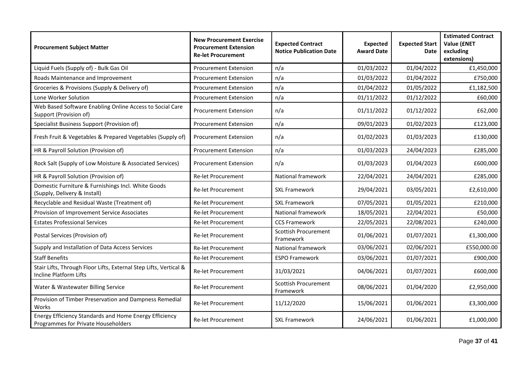| <b>Procurement Subject Matter</b>                                                             | <b>New Procurement Exercise</b><br><b>Procurement Extension</b><br><b>Re-let Procurement</b> | <b>Expected Contract</b><br><b>Notice Publication Date</b> | <b>Expected</b><br><b>Award Date</b> | <b>Expected Start</b><br><b>Date</b> | <b>Estimated Contract</b><br><b>Value (ENET</b><br>excluding<br>extensions) |
|-----------------------------------------------------------------------------------------------|----------------------------------------------------------------------------------------------|------------------------------------------------------------|--------------------------------------|--------------------------------------|-----------------------------------------------------------------------------|
| Liquid Fuels (Supply of) - Bulk Gas Oil                                                       | <b>Procurement Extension</b>                                                                 | n/a                                                        | 01/03/2022                           | 01/04/2022                           | £1,450,000                                                                  |
| Roads Maintenance and Improvement                                                             | <b>Procurement Extension</b>                                                                 | n/a                                                        | 01/03/2022                           | 01/04/2022                           | £750,000                                                                    |
| Groceries & Provisions (Supply & Delivery of)                                                 | <b>Procurement Extension</b>                                                                 | n/a                                                        | 01/04/2022                           | 01/05/2022                           | £1,182,500                                                                  |
| Lone Worker Solution                                                                          | <b>Procurement Extension</b>                                                                 | n/a                                                        | 01/11/2022                           | 01/12/2022                           | £60,000                                                                     |
| Web Based Software Enabling Online Access to Social Care<br>Support (Provision of)            | <b>Procurement Extension</b>                                                                 | n/a                                                        | 01/11/2022                           | 01/12/2022                           | £62,000                                                                     |
| Specialist Business Support (Provision of)                                                    | <b>Procurement Extension</b>                                                                 | n/a                                                        | 09/01/2023                           | 01/02/2023                           | £123,000                                                                    |
| Fresh Fruit & Vegetables & Prepared Vegetables (Supply of)                                    | <b>Procurement Extension</b>                                                                 | n/a                                                        | 01/02/2023                           | 01/03/2023                           | £130,000                                                                    |
| HR & Payroll Solution (Provision of)                                                          | <b>Procurement Extension</b>                                                                 | n/a                                                        | 01/03/2023                           | 24/04/2023                           | £285,000                                                                    |
| Rock Salt (Supply of Low Moisture & Associated Services)                                      | <b>Procurement Extension</b>                                                                 | n/a                                                        | 01/03/2023                           | 01/04/2023                           | £600,000                                                                    |
| HR & Payroll Solution (Provision of)                                                          | <b>Re-let Procurement</b>                                                                    | National framework                                         | 22/04/2021                           | 24/04/2021                           | £285,000                                                                    |
| Domestic Furniture & Furnishings Incl. White Goods<br>(Supply, Delivery & Install)            | <b>Re-let Procurement</b>                                                                    | <b>SXL Framework</b>                                       | 29/04/2021                           | 03/05/2021                           | £2,610,000                                                                  |
| Recyclable and Residual Waste (Treatment of)                                                  | <b>Re-let Procurement</b>                                                                    | <b>SXL Framework</b>                                       | 07/05/2021                           | 01/05/2021                           | £210,000                                                                    |
| Provision of Improvement Service Associates                                                   | <b>Re-let Procurement</b>                                                                    | National framework                                         | 18/05/2021                           | 22/04/2021                           | £50,000                                                                     |
| <b>Estates Professional Services</b>                                                          | <b>Re-let Procurement</b>                                                                    | <b>CCS Framework</b>                                       | 22/05/2021                           | 22/08/2021                           | £240,000                                                                    |
| Postal Services (Provision of)                                                                | <b>Re-let Procurement</b>                                                                    | <b>Scottish Procurement</b><br>Framework                   | 01/06/2021                           | 01/07/2021                           | £1,300,000                                                                  |
| Supply and Installation of Data Access Services                                               | <b>Re-let Procurement</b>                                                                    | National framework                                         | 03/06/2021                           | 02/06/2021                           | £550,000.00                                                                 |
| <b>Staff Benefits</b>                                                                         | <b>Re-let Procurement</b>                                                                    | <b>ESPO Framework</b>                                      | 03/06/2021                           | 01/07/2021                           | £900,000                                                                    |
| Stair Lifts, Through Floor Lifts, External Step Lifts, Vertical &<br>Incline Platform Lifts   | <b>Re-let Procurement</b>                                                                    | 31/03/2021                                                 | 04/06/2021                           | 01/07/2021                           | £600,000                                                                    |
| Water & Wastewater Billing Service                                                            | <b>Re-let Procurement</b>                                                                    | <b>Scottish Procurement</b><br>Framework                   | 08/06/2021                           | 01/04/2020                           | £2,950,000                                                                  |
| Provision of Timber Preservation and Dampness Remedial<br>Works                               | <b>Re-let Procurement</b>                                                                    | 11/12/2020                                                 | 15/06/2021                           | 01/06/2021                           | £3,300,000                                                                  |
| Energy Efficiency Standards and Home Energy Efficiency<br>Programmes for Private Householders | <b>Re-let Procurement</b>                                                                    | <b>SXL Framework</b>                                       | 24/06/2021                           | 01/06/2021                           | £1,000,000                                                                  |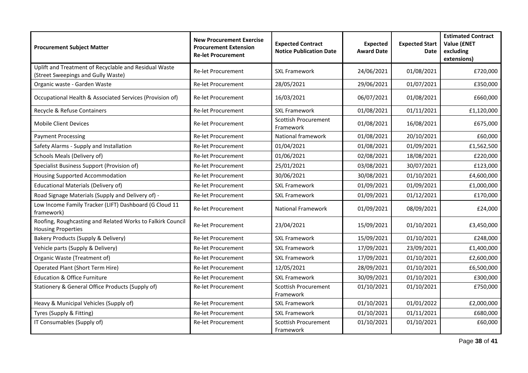| <b>Procurement Subject Matter</b>                                                           | <b>New Procurement Exercise</b><br><b>Procurement Extension</b><br><b>Re-let Procurement</b> | <b>Expected Contract</b><br><b>Notice Publication Date</b> | <b>Expected</b><br><b>Award Date</b> | <b>Expected Start</b><br>Date | <b>Estimated Contract</b><br><b>Value (ENET</b><br>excluding<br>extensions) |
|---------------------------------------------------------------------------------------------|----------------------------------------------------------------------------------------------|------------------------------------------------------------|--------------------------------------|-------------------------------|-----------------------------------------------------------------------------|
| Uplift and Treatment of Recyclable and Residual Waste<br>(Street Sweepings and Gully Waste) | <b>Re-let Procurement</b>                                                                    | <b>SXL Framework</b>                                       | 24/06/2021                           | 01/08/2021                    | £720,000                                                                    |
| Organic waste - Garden Waste                                                                | <b>Re-let Procurement</b>                                                                    | 28/05/2021                                                 | 29/06/2021                           | 01/07/2021                    | £350,000                                                                    |
| Occupational Health & Associated Services (Provision of)                                    | <b>Re-let Procurement</b>                                                                    | 16/03/2021                                                 | 06/07/2021                           | 01/08/2021                    | £660,000                                                                    |
| Recycle & Refuse Containers                                                                 | <b>Re-let Procurement</b>                                                                    | <b>SXL Framework</b>                                       | 01/08/2021                           | 01/11/2021                    | £1,120,000                                                                  |
| <b>Mobile Client Devices</b>                                                                | <b>Re-let Procurement</b>                                                                    | <b>Scottish Procurement</b><br>Framework                   | 01/08/2021                           | 16/08/2021                    | £675,000                                                                    |
| <b>Payment Processing</b>                                                                   | <b>Re-let Procurement</b>                                                                    | National framework                                         | 01/08/2021                           | 20/10/2021                    | £60,000                                                                     |
| Safety Alarms - Supply and Installation                                                     | <b>Re-let Procurement</b>                                                                    | 01/04/2021                                                 | 01/08/2021                           | 01/09/2021                    | £1,562,500                                                                  |
| Schools Meals (Delivery of)                                                                 | <b>Re-let Procurement</b>                                                                    | 01/06/2021                                                 | 02/08/2021                           | 18/08/2021                    | £220,000                                                                    |
| Specialist Business Support (Provision of)                                                  | <b>Re-let Procurement</b>                                                                    | 25/01/2021                                                 | 03/08/2021                           | 30/07/2021                    | £123,000                                                                    |
| <b>Housing Supported Accommodation</b>                                                      | <b>Re-let Procurement</b>                                                                    | 30/06/2021                                                 | 30/08/2021                           | 01/10/2021                    | £4,600,000                                                                  |
| <b>Educational Materials (Delivery of)</b>                                                  | <b>Re-let Procurement</b>                                                                    | <b>SXL Framework</b>                                       | 01/09/2021                           | 01/09/2021                    | £1,000,000                                                                  |
| Road Signage Materials (Supply and Delivery of) -                                           | <b>Re-let Procurement</b>                                                                    | <b>SXL Framework</b>                                       | 01/09/2021                           | 01/12/2021                    | £170,000                                                                    |
| Low Income Family Tracker (LIFT) Dashboard (G Cloud 11<br>framework)                        | <b>Re-let Procurement</b>                                                                    | <b>National Framework</b>                                  | 01/09/2021                           | 08/09/2021                    | £24,000                                                                     |
| Roofing, Roughcasting and Related Works to Falkirk Council<br><b>Housing Properties</b>     | <b>Re-let Procurement</b>                                                                    | 23/04/2021                                                 | 15/09/2021                           | 01/10/2021                    | £3,450,000                                                                  |
| Bakery Products (Supply & Delivery)                                                         | <b>Re-let Procurement</b>                                                                    | <b>SXL Framework</b>                                       | 15/09/2021                           | 01/10/2021                    | £248,000                                                                    |
| Vehicle parts (Supply & Delivery)                                                           | <b>Re-let Procurement</b>                                                                    | <b>SXL Framework</b>                                       | 17/09/2021                           | 23/09/2021                    | £1,400,000                                                                  |
| Organic Waste (Treatment of)                                                                | <b>Re-let Procurement</b>                                                                    | <b>SXL Framework</b>                                       | 17/09/2021                           | 01/10/2021                    | £2,600,000                                                                  |
| Operated Plant (Short Term Hire)                                                            | <b>Re-let Procurement</b>                                                                    | 12/05/2021                                                 | 28/09/2021                           | 01/10/2021                    | £6,500,000                                                                  |
| <b>Education &amp; Office Furniture</b>                                                     | <b>Re-let Procurement</b>                                                                    | <b>SXL Framework</b>                                       | 30/09/2021                           | 01/10/2021                    | £300,000                                                                    |
| Stationery & General Office Products (Supply of)                                            | <b>Re-let Procurement</b>                                                                    | Scottish Procurement<br>Framework                          | 01/10/2021                           | 01/10/2021                    | £750,000                                                                    |
| Heavy & Municipal Vehicles (Supply of)                                                      | <b>Re-let Procurement</b>                                                                    | <b>SXL Framework</b>                                       | 01/10/2021                           | 01/01/2022                    | £2,000,000                                                                  |
| Tyres (Supply & Fitting)                                                                    | <b>Re-let Procurement</b>                                                                    | <b>SXL Framework</b>                                       | 01/10/2021                           | 01/11/2021                    | £680,000                                                                    |
| IT Consumables (Supply of)                                                                  | <b>Re-let Procurement</b>                                                                    | <b>Scottish Procurement</b><br>Framework                   | 01/10/2021                           | 01/10/2021                    | £60,000                                                                     |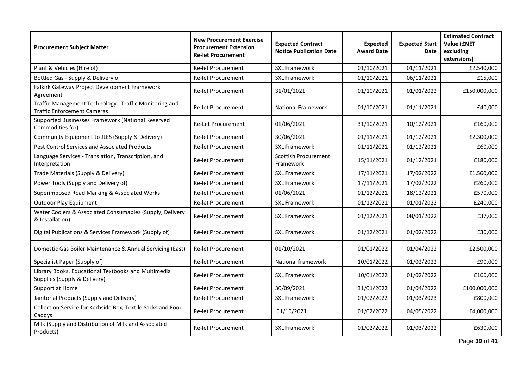| <b>Procurement Subject Matter</b>                                                            | <b>New Procurement Exercise</b><br><b>Procurement Extension</b><br><b>Re-let Procurement</b> | <b>Expected Contract</b><br><b>Notice Publication Date</b> | <b>Expected</b><br><b>Award Date</b> | <b>Expected Start</b><br>Date | <b>Estimated Contract</b><br><b>Value (£NET</b><br>excluding<br>extensions) |
|----------------------------------------------------------------------------------------------|----------------------------------------------------------------------------------------------|------------------------------------------------------------|--------------------------------------|-------------------------------|-----------------------------------------------------------------------------|
| Plant & Vehicles (Hire of)                                                                   | <b>Re-let Procurement</b>                                                                    | <b>SXL Framework</b>                                       | 01/10/2021                           | 01/11/2021                    | £2,540,000                                                                  |
| Bottled Gas - Supply & Delivery of                                                           | <b>Re-let Procurement</b>                                                                    | <b>SXL Framework</b>                                       | 01/10/2021                           | 06/11/2021                    | £15,000                                                                     |
| Falkirk Gateway Project Development Framework<br>Agreement                                   | <b>Re-let Procurement</b>                                                                    | 31/01/2021                                                 | 01/10/2021                           | 01/01/2022                    | £150,000,000                                                                |
| Traffic Management Technology - Traffic Monitoring and<br><b>Traffic Enforcement Cameras</b> | <b>Re-let Procurement</b>                                                                    | <b>National Framework</b>                                  | 01/10/2021                           | 01/11/2021                    | £40,000                                                                     |
| Supported Businesses Framework (National Reserved<br>Commodities for)                        | <b>Re-Let Procurement</b>                                                                    | 01/06/2021                                                 | 31/10/2021                           | 10/12/2021                    | £160,000                                                                    |
| Community Equipment to JLES (Supply & Delivery)                                              | <b>Re-let Procurement</b>                                                                    | 30/06/2021                                                 | 01/11/2021                           | 01/12/2021                    | £2,300,000                                                                  |
| Pest Control Services and Associated Products                                                | <b>Re-let Procurement</b>                                                                    | <b>SXL Framework</b>                                       | 01/11/2021                           | 01/12/2021                    | £60,000                                                                     |
| Language Services - Translation, Transcription, and<br>Interpretation                        | <b>Re-let Procurement</b>                                                                    | <b>Scottish Procurement</b><br>Framework                   | 15/11/2021                           | 01/12/2021                    | £180,000                                                                    |
| Trade Materials (Supply & Delivery)                                                          | <b>Re-let Procurement</b>                                                                    | <b>SXL Framework</b>                                       | 17/11/2021                           | 17/02/2022                    | £1,560,000                                                                  |
| Power Tools (Supply and Delivery of)                                                         | Re-let Procurement                                                                           | <b>SXL Framework</b>                                       | 17/11/2021                           | 17/02/2022                    | £260,000                                                                    |
| Superimposed Road Marking & Associated Works                                                 | <b>Re-let Procurement</b>                                                                    | 01/06/2021                                                 | 01/12/2021                           | 18/12/2021                    | £570,000                                                                    |
| <b>Outdoor Play Equipment</b>                                                                | <b>Re-let Procurement</b>                                                                    | <b>SXL Framework</b>                                       | 01/12/2021                           | 01/01/2022                    | £240,000                                                                    |
| Water Coolers & Associated Consumables (Supply, Delivery<br>& Installation)                  | Re-let Procurement                                                                           | <b>SXL Framework</b>                                       | 01/12/2021                           | 08/01/2022                    | £37,000                                                                     |
| Digital Publications & Services Framework (Supply of)                                        | <b>Re-let Procurement</b>                                                                    | <b>SXL Framework</b>                                       | 01/12/2021                           | 01/02/2022                    | £30,000                                                                     |
| Domestic Gas Boiler Maintenance & Annual Servicing (East)                                    | <b>Re-let Procurement</b>                                                                    | 01/10/2021                                                 | 01/01/2022                           | 01/04/2022                    | £2,500,000                                                                  |
| Specialist Paper (Supply of)                                                                 | <b>Re-let Procurement</b>                                                                    | National framework                                         | 10/01/2022                           | 01/02/2022                    | £90,000                                                                     |
| Library Books, Educational Textbooks and Multimedia<br>Supplies (Supply & Delivery)          | <b>Re-let Procurement</b>                                                                    | <b>SXL Framework</b>                                       | 10/01/2022                           | 01/02/2022                    | £160,000                                                                    |
| Support at Home                                                                              | <b>Re-let Procurement</b>                                                                    | 30/09/2021                                                 | 31/01/2022                           | 01/04/2022                    | £100,000,000                                                                |
| Janitorial Products (Supply and Delivery)                                                    | <b>Re-let Procurement</b>                                                                    | <b>SXL Framework</b>                                       | 01/02/2022                           | 01/03/2023                    | £800,000                                                                    |
| Collection Service for Kerbside Box, Textile Sacks and Food<br>Caddys                        | <b>Re-let Procurement</b>                                                                    | 01/10/2021                                                 | 01/02/2022                           | 04/05/2022                    | £4,000,000                                                                  |
| Milk (Supply and Distribution of Milk and Associated<br>Products)                            | <b>Re-let Procurement</b>                                                                    | <b>SXL Framework</b>                                       | 01/02/2022                           | 01/03/2022                    | £630,000                                                                    |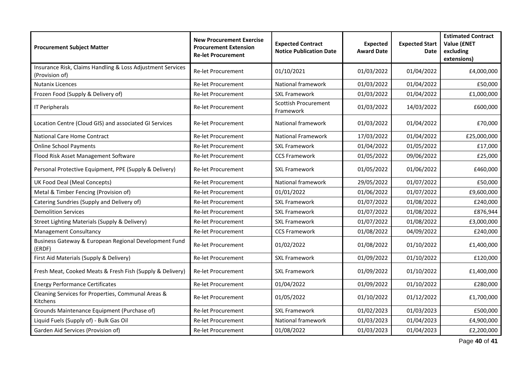| <b>Procurement Subject Matter</b>                                            | <b>New Procurement Exercise</b><br><b>Procurement Extension</b><br><b>Re-let Procurement</b> | <b>Expected Contract</b><br><b>Notice Publication Date</b> | <b>Expected</b><br><b>Award Date</b> | <b>Expected Start</b><br>Date | <b>Estimated Contract</b><br><b>Value (ENET</b><br>excluding<br>extensions) |
|------------------------------------------------------------------------------|----------------------------------------------------------------------------------------------|------------------------------------------------------------|--------------------------------------|-------------------------------|-----------------------------------------------------------------------------|
| Insurance Risk, Claims Handling & Loss Adjustment Services<br>(Provision of) | Re-let Procurement                                                                           | 01/10/2021                                                 | 01/03/2022                           | 01/04/2022                    | £4,000,000                                                                  |
| <b>Nutanix Licences</b>                                                      | <b>Re-let Procurement</b>                                                                    | National framework                                         | 01/03/2022                           | 01/04/2022                    | £50,000                                                                     |
| Frozen Food (Supply & Delivery of)                                           | <b>Re-let Procurement</b>                                                                    | <b>SXL Framework</b>                                       | 01/03/2022                           | 01/04/2022                    | £1,000,000                                                                  |
| IT Peripherals                                                               | <b>Re-let Procurement</b>                                                                    | <b>Scottish Procurement</b><br>Framework                   | 01/03/2022                           | 14/03/2022                    | £600,000                                                                    |
| Location Centre (Cloud GIS) and associated GI Services                       | <b>Re-let Procurement</b>                                                                    | National framework                                         | 01/03/2022                           | 01/04/2022                    | £70,000                                                                     |
| <b>National Care Home Contract</b>                                           | <b>Re-let Procurement</b>                                                                    | <b>National Framework</b>                                  | 17/03/2022                           | 01/04/2022                    | £25,000,000                                                                 |
| <b>Online School Payments</b>                                                | <b>Re-let Procurement</b>                                                                    | <b>SXL Framework</b>                                       | 01/04/2022                           | 01/05/2022                    | £17,000                                                                     |
| Flood Risk Asset Management Software                                         | Re-let Procurement                                                                           | <b>CCS Framework</b>                                       | 01/05/2022                           | 09/06/2022                    | £25,000                                                                     |
| Personal Protective Equipment, PPE (Supply & Delivery)                       | <b>Re-let Procurement</b>                                                                    | <b>SXL Framework</b>                                       | 01/05/2022                           | 01/06/2022                    | £460,000                                                                    |
| UK Food Deal (Meal Concepts)                                                 | <b>Re-let Procurement</b>                                                                    | National framework                                         | 29/05/2022                           | 01/07/2022                    | £50,000                                                                     |
| Metal & Timber Fencing (Provision of)                                        | <b>Re-let Procurement</b>                                                                    | 01/01/2022                                                 | 01/06/2022                           | 01/07/2022                    | £9,600,000                                                                  |
| Catering Sundries (Supply and Delivery of)                                   | <b>Re-let Procurement</b>                                                                    | <b>SXL Framework</b>                                       | 01/07/2022                           | 01/08/2022                    | £240,000                                                                    |
| <b>Demolition Services</b>                                                   | <b>Re-let Procurement</b>                                                                    | <b>SXL Framework</b>                                       | 01/07/2022                           | 01/08/2022                    | £876,944                                                                    |
| Street Lighting Materials (Supply & Delivery)                                | <b>Re-let Procurement</b>                                                                    | <b>SXL Framework</b>                                       | 01/07/2022                           | 01/08/2022                    | £3,000,000                                                                  |
| <b>Management Consultancy</b>                                                | <b>Re-let Procurement</b>                                                                    | <b>CCS Framework</b>                                       | 01/08/2022                           | 04/09/2022                    | £240,000                                                                    |
| Business Gateway & European Regional Development Fund<br>(ERDF)              | <b>Re-let Procurement</b>                                                                    | 01/02/2022                                                 | 01/08/2022                           | 01/10/2022                    | £1,400,000                                                                  |
| First Aid Materials (Supply & Delivery)                                      | <b>Re-let Procurement</b>                                                                    | <b>SXL Framework</b>                                       | 01/09/2022                           | 01/10/2022                    | £120,000                                                                    |
| Fresh Meat, Cooked Meats & Fresh Fish (Supply & Delivery)                    | Re-let Procurement                                                                           | <b>SXL Framework</b>                                       | 01/09/2022                           | 01/10/2022                    | £1,400,000                                                                  |
| <b>Energy Performance Certificates</b>                                       | Re-let Procurement                                                                           | 01/04/2022                                                 | 01/09/2022                           | 01/10/2022                    | £280,000                                                                    |
| Cleaning Services for Properties, Communal Areas &<br>Kitchens               | <b>Re-let Procurement</b>                                                                    | 01/05/2022                                                 | 01/10/2022                           | 01/12/2022                    | £1,700,000                                                                  |
| Grounds Maintenance Equipment (Purchase of)                                  | Re-let Procurement                                                                           | <b>SXL Framework</b>                                       | 01/02/2023                           | 01/03/2023                    | £500,000                                                                    |
| Liquid Fuels (Supply of) - Bulk Gas Oil                                      | <b>Re-let Procurement</b>                                                                    | National framework                                         | 01/03/2023                           | 01/04/2023                    | £4,900,000                                                                  |
| Garden Aid Services (Provision of)                                           | Re-let Procurement                                                                           | 01/08/2022                                                 | 01/03/2023                           | 01/04/2023                    | £2,200,000                                                                  |

Page **40** of **41**